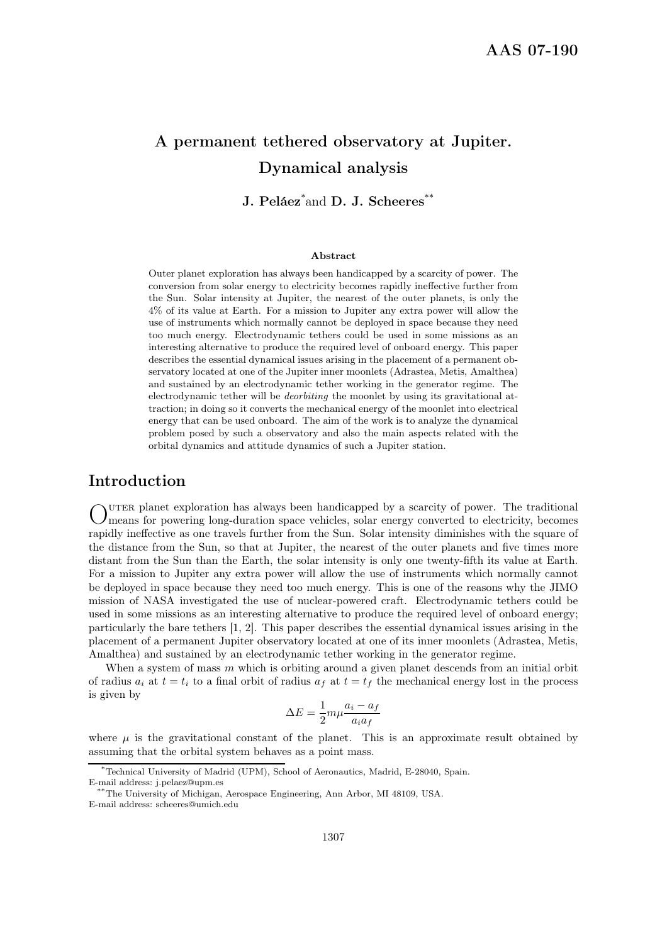# A permanent tethered observatory at Jupiter. Dynamical analysis

J. Peláez<sup>\*</sup>and D. J. Scheeres<sup>\*\*</sup>

#### Abstract

Outer planet exploration has always been handicapped by a scarcity of power. The conversion from solar energy to electricity becomes rapidly ineffective further from the Sun. Solar intensity at Jupiter, the nearest of the outer planets, is only the 4% of its value at Earth. For a mission to Jupiter any extra power will allow the use of instruments which normally cannot be deployed in space because they need too much energy. Electrodynamic tethers could be used in some missions as an interesting alternative to produce the required level of onboard energy. This paper describes the essential dynamical issues arising in the placement of a permanent observatory located at one of the Jupiter inner moonlets (Adrastea, Metis, Amalthea) and sustained by an electrodynamic tether working in the generator regime. The electrodynamic tether will be deorbiting the moonlet by using its gravitational attraction; in doing so it converts the mechanical energy of the moonlet into electrical energy that can be used onboard. The aim of the work is to analyze the dynamical problem posed by such a observatory and also the main aspects related with the orbital dynamics and attitude dynamics of such a Jupiter station.

# Introduction

OUTER planet exploration has always been handicapped by a scarcity of power. The traditional C means for powering long-duration space vehicles, solar energy converted to electricity, becomes uter planet exploration has always been handicapped by a scarcity of power. The traditional rapidly ineffective as one travels further from the Sun. Solar intensity diminishes with the square of the distance from the Sun, so that at Jupiter, the nearest of the outer planets and five times more distant from the Sun than the Earth, the solar intensity is only one twenty-fifth its value at Earth. For a mission to Jupiter any extra power will allow the use of instruments which normally cannot be deployed in space because they need too much energy. This is one of the reasons why the JIMO mission of NASA investigated the use of nuclear-powered craft. Electrodynamic tethers could be used in some missions as an interesting alternative to produce the required level of onboard energy; particularly the bare tethers [1, 2]. This paper describes the essential dynamical issues arising in the placement of a permanent Jupiter observatory located at one of its inner moonlets (Adrastea, Metis, Amalthea) and sustained by an electrodynamic tether working in the generator regime.

When a system of mass m which is orbiting around a given planet descends from an initial orbit of radius  $a_i$  at  $t = t_i$  to a final orbit of radius  $a_f$  at  $t = t_f$  the mechanical energy lost in the process is given by

$$
\Delta E = \frac{1}{2} m \mu \frac{a_i - a_f}{a_i a_f}
$$

where  $\mu$  is the gravitational constant of the planet. This is an approximate result obtained by assuming that the orbital system behaves as a point mass.

<sup>\*</sup>Technical University of Madrid (UPM), School of Aeronautics, Madrid, E-28040, Spain. E-mail address: j.pelaez@upm.es

<sup>\*\*</sup>The University of Michigan, Aerospace Engineering, Ann Arbor, MI 48109, USA. E-mail address: scheeres@umich.edu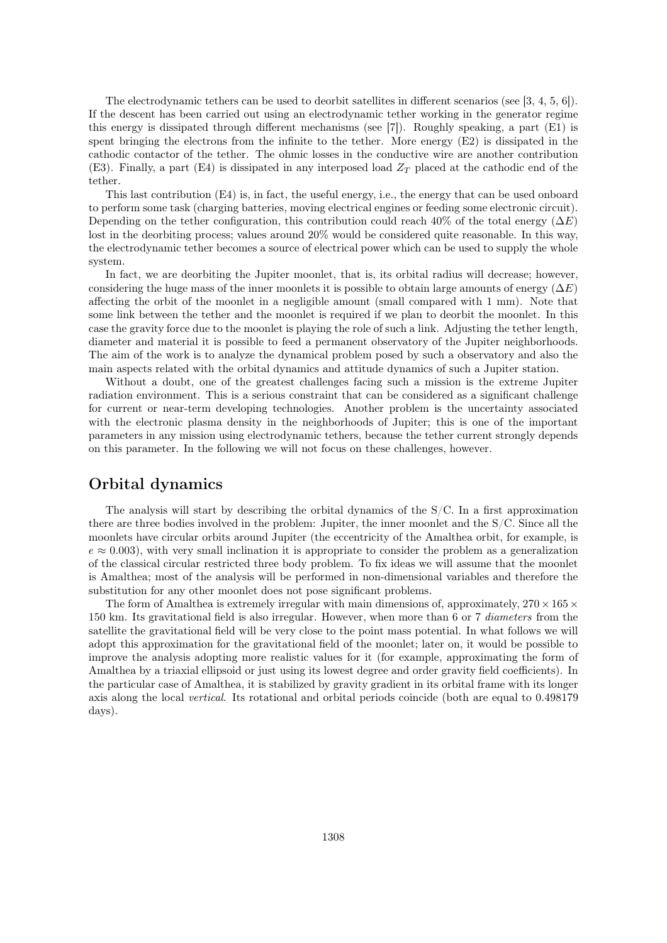The electrodynamic tethers can be used to deorbit satellites in different scenarios (see [3, 4, 5, 6]). If the descent has been carried out using an electrodynamic tether working in the generator regime this energy is dissipated through different mechanisms (see [7]). Roughly speaking, a part (E1) is spent bringing the electrons from the infinite to the tether. More energy  $(E2)$  is dissipated in the cathodic contactor of the tether. The ohmic losses in the conductive wire are another contribution (E3). Finally, a part (E4) is dissipated in any interposed load  $Z_T$  placed at the cathodic end of the tether.

This last contribution (E4) is, in fact, the useful energy, i.e., the energy that can be used onboard to perform some task (charging batteries, moving electrical engines or feeding some electronic circuit). Depending on the tether configuration, this contribution could reach 40% of the total energy ( $\Delta E$ ) lost in the deorbiting process; values around 20% would be considered quite reasonable. In this way, the electrodynamic tether becomes a source of electrical power which can be used to supply the whole system.

In fact, we are deorbiting the Jupiter moonlet, that is, its orbital radius will decrease; however, considering the huge mass of the inner moonlets it is possible to obtain large amounts of energy  $(\Delta E)$ affecting the orbit of the moonlet in a negligible amount (small compared with 1 mm). Note that some link between the tether and the moonlet is required if we plan to deorbit the moonlet. In this case the gravity force due to the moonlet is playing the role of such a link. Adjusting the tether length, diameter and material it is possible to feed a permanent observatory of the Jupiter neighborhoods. The aim of the work is to analyze the dynamical problem posed by such a observatory and also the main aspects related with the orbital dynamics and attitude dynamics of such a Jupiter station.

Without a doubt, one of the greatest challenges facing such a mission is the extreme Jupiter radiation environment. This is a serious constraint that can be considered as a significant challenge for current or near-term developing technologies. Another problem is the uncertainty associated with the electronic plasma density in the neighborhoods of Jupiter; this is one of the important parameters in any mission using electrodynamic tethers, because the tether current strongly depends on this parameter. In the following we will not focus on these challenges, however.

# Orbital dynamics

The analysis will start by describing the orbital dynamics of the S/C. In a first approximation there are three bodies involved in the problem: Jupiter, the inner moonlet and the S/C. Since all the moonlets have circular orbits around Jupiter (the eccentricity of the Amalthea orbit, for example, is  $e \approx 0.003$ , with very small inclination it is appropriate to consider the problem as a generalization of the classical circular restricted three body problem. To fix ideas we will assume that the moonlet is Amalthea; most of the analysis will be performed in non-dimensional variables and therefore the substitution for any other moonlet does not pose significant problems.

The form of Amalthea is extremely irregular with main dimensions of, approximately,  $270 \times 165 \times$ 150 km. Its gravitational field is also irregular. However, when more than 6 or 7 diameters from the satellite the gravitational field will be very close to the point mass potential. In what follows we will adopt this approximation for the gravitational field of the moonlet; later on, it would be possible to improve the analysis adopting more realistic values for it (for example, approximating the form of Amalthea by a triaxial ellipsoid or just using its lowest degree and order gravity field coefficients). In the particular case of Amalthea, it is stabilized by gravity gradient in its orbital frame with its longer axis along the local vertical. Its rotational and orbital periods coincide (both are equal to 0.498179 days).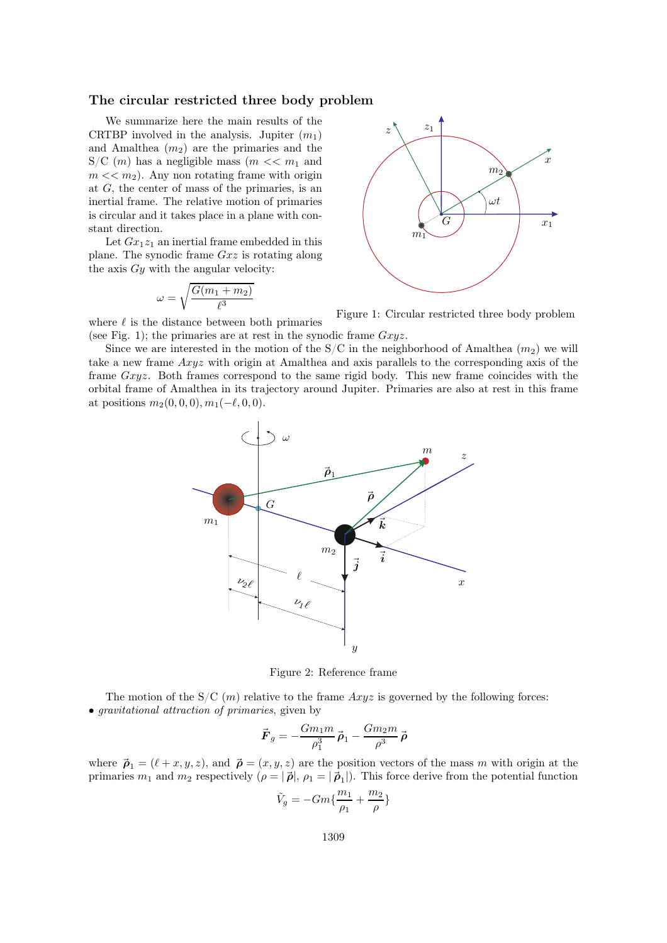#### The circular restricted three body problem

We summarize here the main results of the CRTBP involved in the analysis. Jupiter  $(m_1)$ and Amalthea  $(m_2)$  are the primaries and the S/C  $(m)$  has a negligible mass  $(m \ll m_1$  and  $m \ll m_2$ ). Any non rotating frame with origin at G, the center of mass of the primaries, is an inertial frame. The relative motion of primaries is circular and it takes place in a plane with constant direction.

Let  $Gx_1z_1$  an inertial frame embedded in this plane. The synodic frame Gxz is rotating along the axis  $Gy$  with the angular velocity:

$$
\omega = \sqrt{\frac{G(m_1 + m_2)}{\ell^3}}
$$



Figure 1: Circular restricted three body problem

where  $\ell$  is the distance between both primaries (see Fig. 1); the primaries are at rest in the synodic frame  $Gxyz$ .

Since we are interested in the motion of the  $S/C$  in the neighborhood of Amalthea  $(m_2)$  we will take a new frame Axyz with origin at Amalthea and axis parallels to the corresponding axis of the frame Gxyz. Both frames correspond to the same rigid body. This new frame coincides with the orbital frame of Amalthea in its trajectory around Jupiter. Primaries are also at rest in this frame at positions  $m_2(0, 0, 0), m_1(-\ell, 0, 0).$ 



Figure 2: Reference frame

The motion of the  $S/C(m)$  relative to the frame  $Axyz$  is governed by the following forces: • gravitational attraction of primaries, given by

$$
\vec{F}_g=-\frac{Gm_1m}{\rho_1^3}\vec{\boldsymbol{\rho}}_1-\frac{Gm_2m}{\rho^3}\vec{\boldsymbol{\rho}}
$$

where  $\vec{\rho}_1 = (\ell + x, y, z)$ , and  $\vec{\rho} = (x, y, z)$  are the position vectors of the mass m with origin at the primaries  $m_1$  and  $m_2$  respectively  $(\rho = |\vec{\rho}|, \rho_1 = |\vec{\rho}_1|)$ . This force derive from the potential function

$$
\tilde{V}_g = -Gm\{\frac{m_1}{\rho_1} + \frac{m_2}{\rho}\}
$$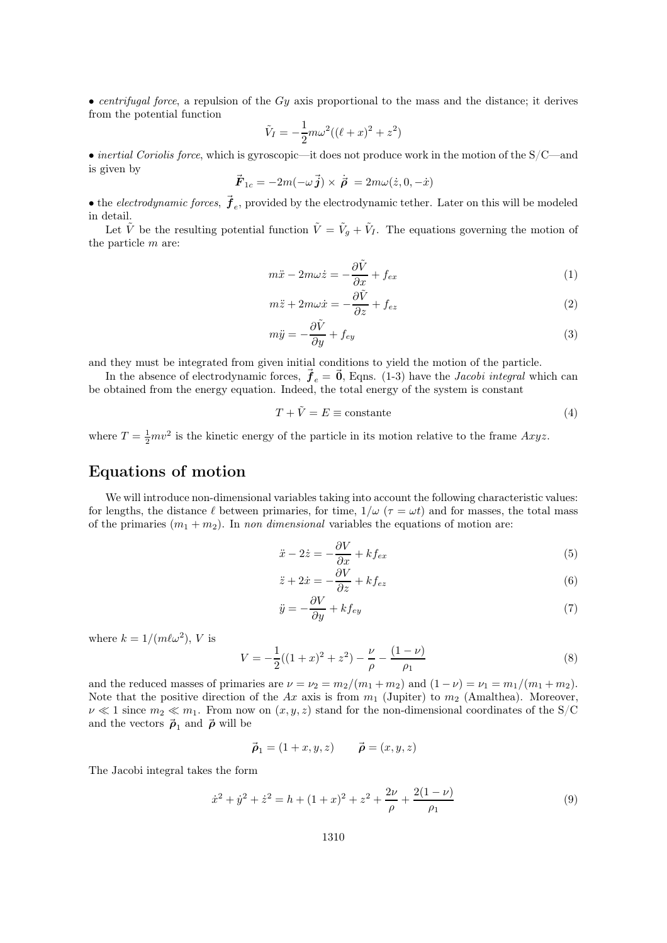• centrifugal force, a repulsion of the  $Gy$  axis proportional to the mass and the distance; it derives from the potential function

$$
\tilde{V}_I = -\frac{1}{2}m\omega^2((\ell + x)^2 + z^2)
$$

• inertial Coriolis force, which is gyroscopic—it does not produce work in the motion of the  $S/C$ —and is given by

$$
\vec{F}_{1c} = -2m(-\omega \vec{j}) \times \dot{\vec{\rho}} = 2m\omega(\dot{z}, 0, -\dot{x})
$$

• the *electrodynamic forces*,  $\vec{f}_e$ , provided by the electrodynamic tether. Later on this will be modeled in detail.

Let  $\tilde{V}$  be the resulting potential function  $\tilde{V} = \tilde{V}_g + \tilde{V}_I$ . The equations governing the motion of the particle m are:

$$
m\ddot{x} - 2m\omega \dot{z} = -\frac{\partial \tilde{V}}{\partial x} + f_{ex} \tag{1}
$$

$$
m\ddot{z} + 2m\omega \dot{x} = -\frac{\partial \tilde{V}}{\partial z} + f_{ez} \tag{2}
$$

$$
m\ddot{y} = -\frac{\partial \tilde{V}}{\partial y} + f_{ey} \tag{3}
$$

and they must be integrated from given initial conditions to yield the motion of the particle.

In the absence of electrodynamic forces,  $\vec{f}_e = \vec{0}$ , Eqns. (1-3) have the *Jacobi integral* which can be obtained from the energy equation. Indeed, the total energy of the system is constant

$$
T + \tilde{V} = E \equiv \text{constante} \tag{4}
$$

where  $T = \frac{1}{2}mv^2$  is the kinetic energy of the particle in its motion relative to the frame  $Axyz$ .

# Equations of motion

We will introduce non-dimensional variables taking into account the following characteristic values: for lengths, the distance  $\ell$  between primaries, for time,  $1/\omega$  ( $\tau = \omega t$ ) and for masses, the total mass of the primaries  $(m_1 + m_2)$ . In non dimensional variables the equations of motion are:

$$
\ddot{x} - 2\dot{z} = -\frac{\partial V}{\partial x} + k f_{ex} \tag{5}
$$

$$
\ddot{z} + 2\dot{x} = -\frac{\partial V}{\partial z} + k f_{ez} \tag{6}
$$

$$
\ddot{y} = -\frac{\partial V}{\partial y} + k f_{ey} \tag{7}
$$

where  $k = 1/(m\ell\omega^2)$ , V is

$$
V = -\frac{1}{2}((1+x)^2 + z^2) - \frac{\nu}{\rho} - \frac{(1-\nu)}{\rho_1}
$$
\n(8)

and the reduced masses of primaries are  $\nu = \nu_2 = m_2/(m_1 + m_2)$  and  $(1 - \nu) = \nu_1 = m_1/(m_1 + m_2)$ . Note that the positive direction of the Ax axis is from  $m_1$  (Jupiter) to  $m_2$  (Amalthea). Moreover,  $\nu \ll 1$  since  $m_2 \ll m_1$ . From now on  $(x, y, z)$  stand for the non-dimensional coordinates of the S/C and the vectors  $\vec{\rho}_1$  and  $\vec{\rho}$  will be

$$
\vec{\boldsymbol{\rho}}_1 = (1+x, y, z) \qquad \vec{\boldsymbol{\rho}} = (x, y, z)
$$

The Jacobi integral takes the form

$$
\dot{x}^2 + \dot{y}^2 + \dot{z}^2 = h + (1+x)^2 + z^2 + \frac{2\nu}{\rho} + \frac{2(1-\nu)}{\rho_1}
$$
\n(9)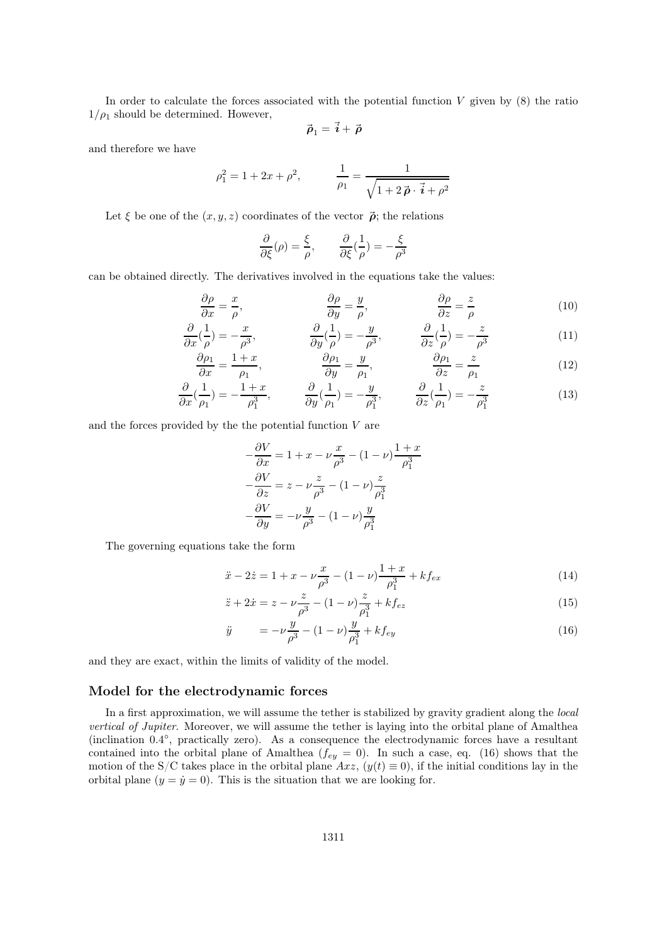In order to calculate the forces associated with the potential function  $V$  given by  $(8)$  the ratio  $1/\rho_1$  should be determined. However,

$$
\vec{\boldsymbol{\rho}}_1=\vec{\boldsymbol{i}}+\vec{\boldsymbol{\rho}}
$$

and therefore we have

$$
\rho_1^2 = 1 + 2x + \rho^2, \qquad \frac{1}{\rho_1} = \frac{1}{\sqrt{1 + 2\vec{\rho} \cdot \vec{i} + \rho^2}}
$$

Let  $\xi$  be one of the  $(x, y, z)$  coordinates of the vector  $\vec{p}$ ; the relations

$$
\frac{\partial}{\partial \xi}(\rho) = \frac{\xi}{\rho}, \qquad \frac{\partial}{\partial \xi}(\frac{1}{\rho}) = -\frac{\xi}{\rho^3}
$$

can be obtained directly. The derivatives involved in the equations take the values:

$$
\frac{\partial \rho}{\partial x} = \frac{x}{\rho}, \qquad \frac{\partial \rho}{\partial y} = \frac{y}{\rho}, \qquad \frac{\partial \rho}{\partial z} = \frac{z}{\rho}
$$
(10)

$$
\frac{\partial}{\partial x}(\frac{1}{\rho}) = -\frac{x}{\rho^3}, \qquad \frac{\partial}{\partial y}(\frac{1}{\rho}) = -\frac{y}{\rho^3}, \qquad \frac{\partial}{\partial z}(\frac{1}{\rho}) = -\frac{z}{\rho^3}
$$
(11)

$$
\frac{\partial \rho_1}{\partial x} = \frac{1+x}{\rho_1}, \qquad \frac{\partial \rho_1}{\partial y} = \frac{y}{\rho_1}, \qquad \frac{\partial \rho_1}{\partial z} = \frac{z}{\rho_1}
$$
(12)

$$
\frac{\partial}{\partial x}(\frac{1}{\rho_1}) = -\frac{1+x}{\rho_1^3}, \qquad \frac{\partial}{\partial y}(\frac{1}{\rho_1}) = -\frac{y}{\rho_1^3}, \qquad \frac{\partial}{\partial z}(\frac{1}{\rho_1}) = -\frac{z}{\rho_1^3}
$$
(13)

and the forces provided by the the potential function  $V$  are

$$
-\frac{\partial V}{\partial x} = 1 + x - \nu \frac{x}{\rho^3} - (1 - \nu) \frac{1 + x}{\rho_1^3}
$$

$$
-\frac{\partial V}{\partial z} = z - \nu \frac{z}{\rho^3} - (1 - \nu) \frac{z}{\rho_1^3}
$$

$$
-\frac{\partial V}{\partial y} = -\nu \frac{y}{\rho^3} - (1 - \nu) \frac{y}{\rho_1^3}
$$

The governing equations take the form

$$
\ddot{x} - 2\dot{z} = 1 + x - \nu \frac{x}{\rho^3} - (1 - \nu) \frac{1 + x}{\rho_1^3} + k f_{ex}
$$
\n(14)

$$
\ddot{z} + 2\dot{x} = z - \nu \frac{z}{\rho^3} - (1 - \nu) \frac{z}{\rho_1^3} + k f_{ez}
$$
\n(15)

$$
\ddot{y} = -\nu \frac{y}{\rho^3} - (1 - \nu) \frac{y}{\rho_1^3} + k f_{ey} \tag{16}
$$

and they are exact, within the limits of validity of the model.

### Model for the electrodynamic forces

In a first approximation, we will assume the tether is stabilized by gravity gradient along the *local* vertical of Jupiter. Moreover, we will assume the tether is laying into the orbital plane of Amalthea (inclination 0.4°, practically zero). As a consequence the electrodynamic forces have a resultant contained into the orbital plane of Amalthea ( $f_{ey} = 0$ ). In such a case, eq. (16) shows that the motion of the S/C takes place in the orbital plane Axz,  $(y(t) \equiv 0)$ , if the initial conditions lay in the orbital plane  $(y = \dot{y} = 0)$ . This is the situation that we are looking for.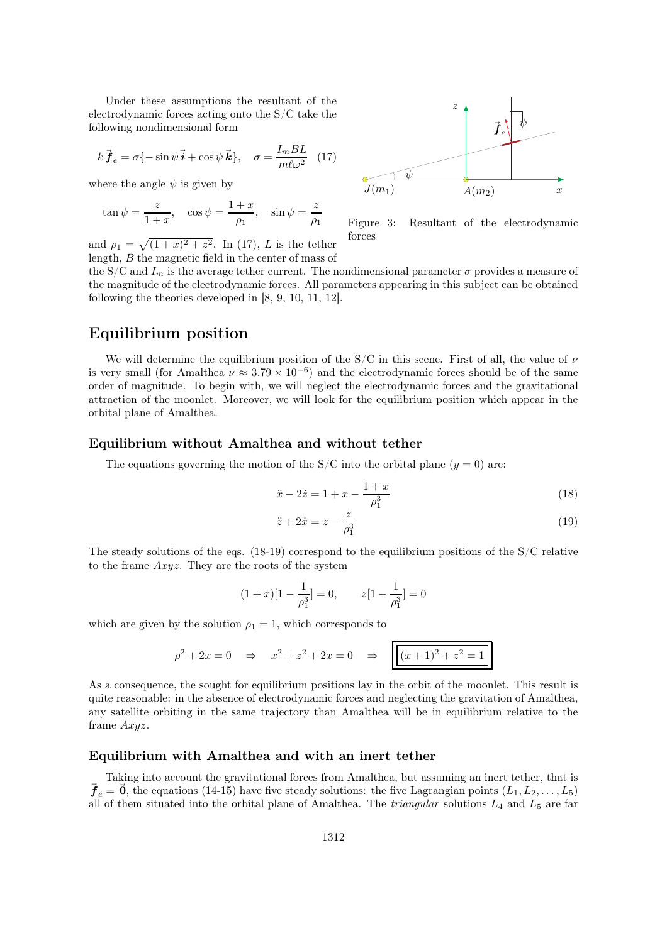Under these assumptions the resultant of the electrodynamic forces acting onto the S/C take the following nondimensional form

$$
k\vec{f}_e = \sigma\{-\sin\psi\vec{i} + \cos\psi\vec{k}\}, \quad \sigma = \frac{I_mBL}{m\ell\omega^2}
$$
 (17)

where the angle  $\psi$  is given by

$$
an \psi = \frac{z}{1+x}
$$
,  $\cos \psi = \frac{1+x}{\rho_1}$ ,  $\sin \psi = \frac{z}{\rho_1}$ 

and  $\rho_1 = \sqrt{(1+x)^2 + z^2}$ . In (17), L is the tether length, B the magnetic field in the center of mass of



Figure 3: Resultant of the electrodynamic forces

the S/C and  $I_m$  is the average tether current. The nondimensional parameter  $\sigma$  provides a measure of the magnitude of the electrodynamic forces. All parameters appearing in this subject can be obtained following the theories developed in [8, 9, 10, 11, 12].

### Equilibrium position

We will determine the equilibrium position of the S/C in this scene. First of all, the value of  $\nu$ is very small (for Amalthea  $\nu \approx 3.79 \times 10^{-6}$ ) and the electrodynamic forces should be of the same order of magnitude. To begin with, we will neglect the electrodynamic forces and the gravitational attraction of the moonlet. Moreover, we will look for the equilibrium position which appear in the orbital plane of Amalthea.

#### Equilibrium without Amalthea and without tether

The equations governing the motion of the  $S/C$  into the orbital plane  $(y = 0)$  are:

$$
\ddot{x} - 2\dot{z} = 1 + x - \frac{1+x}{\rho_1^3} \tag{18}
$$

$$
\ddot{z} + 2\dot{x} = z - \frac{z}{\rho_1^3} \tag{19}
$$

The steady solutions of the eqs.  $(18-19)$  correspond to the equilibrium positions of the S/C relative to the frame Axyz. They are the roots of the system

$$
(1+x)[1-\frac{1}{\rho_1^3}]=0, \qquad z[1-\frac{1}{\rho_1^3}]=0
$$

which are given by the solution  $\rho_1 = 1$ , which corresponds to

$$
\rho^2 + 2x = 0 \quad \Rightarrow \quad x^2 + z^2 + 2x = 0 \quad \Rightarrow \quad \boxed{(x+1)^2 + z^2 = 1}
$$

As a consequence, the sought for equilibrium positions lay in the orbit of the moonlet. This result is quite reasonable: in the absence of electrodynamic forces and neglecting the gravitation of Amalthea, any satellite orbiting in the same trajectory than Amalthea will be in equilibrium relative to the frame Axyz.

### Equilibrium with Amalthea and with an inert tether

Taking into account the gravitational forces from Amalthea, but assuming an inert tether, that is  $\vec{f}_e = \vec{0}$ , the equations (14-15) have five steady solutions: the five Lagrangian points  $(L_1, L_2, \ldots, L_5)$ all of them situated into the orbital plane of Amalthea. The *triangular* solutions  $L_4$  and  $L_5$  are far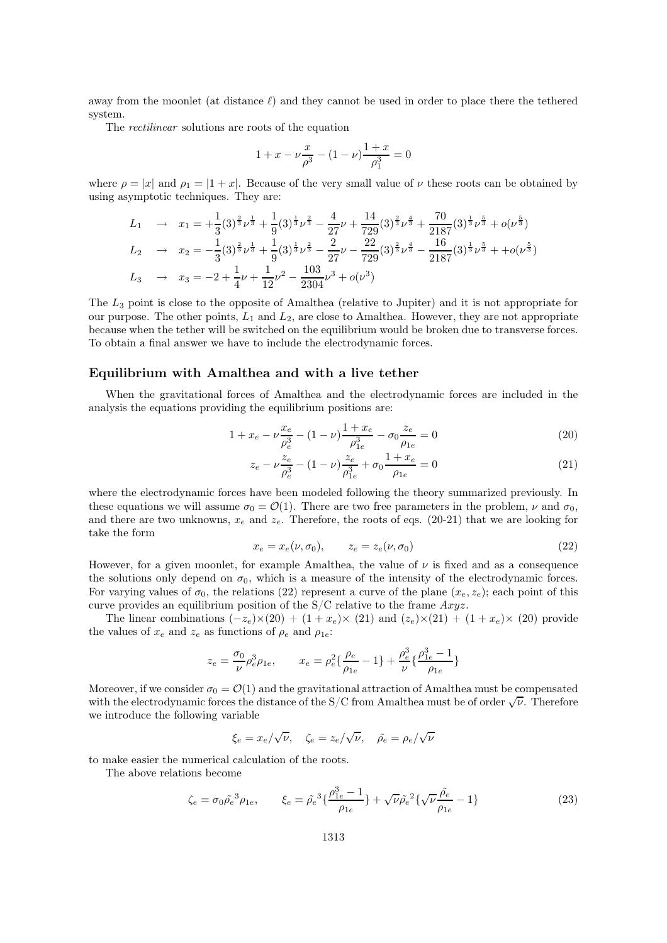away from the moonlet (at distance  $\ell$ ) and they cannot be used in order to place there the tethered system.

The rectilinear solutions are roots of the equation

$$
1 + x - \nu \frac{x}{\rho^3} - (1 - \nu) \frac{1 + x}{\rho_1^3} = 0
$$

where  $\rho = |x|$  and  $\rho_1 = |1 + x|$ . Because of the very small value of  $\nu$  these roots can be obtained by using asymptotic techniques. They are:

$$
L_1 \rightarrow x_1 = +\frac{1}{3}(3)^{\frac{2}{3}}\nu^{\frac{1}{3}} + \frac{1}{9}(3)^{\frac{1}{3}}\nu^{\frac{2}{3}} - \frac{4}{27}\nu + \frac{14}{729}(3)^{\frac{2}{3}}\nu^{\frac{4}{3}} + \frac{70}{2187}(3)^{\frac{1}{3}}\nu^{\frac{5}{3}} + o(\nu^{\frac{5}{3}})
$$
  
\n
$$
L_2 \rightarrow x_2 = -\frac{1}{3}(3)^{\frac{2}{3}}\nu^{\frac{1}{3}} + \frac{1}{9}(3)^{\frac{1}{3}}\nu^{\frac{2}{3}} - \frac{2}{27}\nu - \frac{22}{729}(3)^{\frac{2}{3}}\nu^{\frac{4}{3}} - \frac{16}{2187}(3)^{\frac{1}{3}}\nu^{\frac{5}{3}} + + o(\nu^{\frac{5}{3}})
$$
  
\n
$$
L_3 \rightarrow x_3 = -2 + \frac{1}{4}\nu + \frac{1}{12}\nu^2 - \frac{103}{2304}\nu^3 + o(\nu^3)
$$

The  $L_3$  point is close to the opposite of Amalthea (relative to Jupiter) and it is not appropriate for our purpose. The other points,  $L_1$  and  $L_2$ , are close to Amalthea. However, they are not appropriate because when the tether will be switched on the equilibrium would be broken due to transverse forces. To obtain a final answer we have to include the electrodynamic forces.

#### Equilibrium with Amalthea and with a live tether

When the gravitational forces of Amalthea and the electrodynamic forces are included in the analysis the equations providing the equilibrium positions are:

$$
1 + x_e - \nu \frac{x_e}{\rho_e^3} - (1 - \nu) \frac{1 + x_e}{\rho_{1e}^3} - \sigma_0 \frac{z_e}{\rho_{1e}} = 0
$$
\n(20)

$$
z_e - \nu \frac{z_e}{\rho_e^3} - (1 - \nu) \frac{z_e}{\rho_{1e}^3} + \sigma_0 \frac{1 + x_e}{\rho_{1e}} = 0
$$
\n(21)

where the electrodynamic forces have been modeled following the theory summarized previously. In these equations we will assume  $\sigma_0 = \mathcal{O}(1)$ . There are two free parameters in the problem,  $\nu$  and  $\sigma_0$ , and there are two unknowns,  $x_e$  and  $z_e$ . Therefore, the roots of eqs. (20-21) that we are looking for take the form

$$
x_e = x_e(\nu, \sigma_0), \qquad z_e = z_e(\nu, \sigma_0) \tag{22}
$$

However, for a given moonlet, for example Amalthea, the value of  $\nu$  is fixed and as a consequence the solutions only depend on  $\sigma_0$ , which is a measure of the intensity of the electrodynamic forces. For varying values of  $\sigma_0$ , the relations (22) represent a curve of the plane  $(x_e, z_e)$ ; each point of this curve provides an equilibrium position of the  $S/C$  relative to the frame  $Axyz$ .

The linear combinations  $(-z_e)\times(20) + (1+x_e)\times(21)$  and  $(z_e)\times(21) + (1+x_e)\times(20)$  provide the values of  $x_e$  and  $z_e$  as functions of  $\rho_e$  and  $\rho_{1e}$ :

$$
z_e = \frac{\sigma_0}{\nu} \rho_e^3 \rho_{1e}, \qquad x_e = \rho_e^2 \left\{ \frac{\rho_e}{\rho_{1e}} - 1 \right\} + \frac{\rho_e^3}{\nu} \left\{ \frac{\rho_{1e}^3 - 1}{\rho_{1e}} \right\}
$$

Moreover, if we consider  $\sigma_0 = \mathcal{O}(1)$  and the gravitational attraction of Amalthea must be compensated with the electrodynamic forces the distance of the S/C from Amalthea must be of order  $\sqrt{\nu}$ . Therefore we introduce the following variable

$$
\xi_e = x_e/\sqrt{\nu}, \quad \zeta_e = z_e/\sqrt{\nu}, \quad \tilde{\rho_e} = \rho_e/\sqrt{\nu}
$$

to make easier the numerical calculation of the roots.

The above relations become

$$
\zeta_e = \sigma_0 \tilde{\rho}_e^3 \rho_{1e}, \qquad \xi_e = \tilde{\rho}_e^3 \{ \frac{\rho_{1e}^3 - 1}{\rho_{1e}} \} + \sqrt{\nu} \tilde{\rho}_e^2 \{ \sqrt{\nu} \frac{\tilde{\rho}_e}{\rho_{1e}} - 1 \}
$$
(23)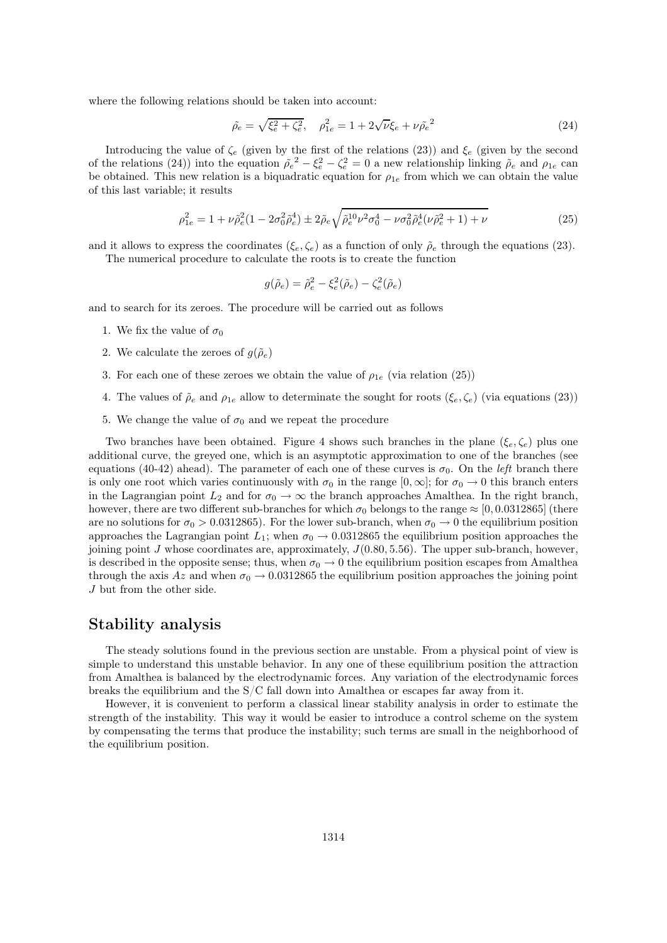where the following relations should be taken into account:

$$
\tilde{\rho}_e = \sqrt{\xi_e^2 + \zeta_e^2}, \quad \rho_{1e}^2 = 1 + 2\sqrt{\nu}\xi_e + \nu\tilde{\rho}_e^2
$$
\n(24)

Introducing the value of  $\zeta_e$  (given by the first of the relations (23)) and  $\xi_e$  (given by the second of the relations (24)) into the equation  $\tilde{\rho}_e^2 - \xi_e^2 - \zeta_e^2 = 0$  a new relationship linking  $\tilde{\rho}_e$  and  $\rho_{1e}$  can be obtained. This new relation is a biquadratic equation for  $\rho_{1e}$  from which we can obtain the value of this last variable; it results

$$
\rho_{1e}^2 = 1 + \nu \tilde{\rho}_e^2 (1 - 2\sigma_0^2 \tilde{\rho}_e^4) \pm 2\tilde{\rho}_e \sqrt{\tilde{\rho}_e^{10} \nu^2 \sigma_0^4 - \nu \sigma_0^2 \tilde{\rho}_e^4 (\nu \tilde{\rho}_e^2 + 1) + \nu}
$$
\n(25)

and it allows to express the coordinates  $(\xi_e, \zeta_e)$  as a function of only  $\tilde{\rho}_e$  through the equations (23).

The numerical procedure to calculate the roots is to create the function

$$
g(\tilde{\rho}_e) = \tilde{\rho}_e^2 - \xi_e^2(\tilde{\rho}_e) - \zeta_e^2(\tilde{\rho}_e)
$$

and to search for its zeroes. The procedure will be carried out as follows

- 1. We fix the value of  $\sigma_0$
- 2. We calculate the zeroes of  $q(\tilde{\rho}_e)$
- 3. For each one of these zeroes we obtain the value of  $\rho_{1e}$  (via relation (25))
- 4. The values of  $\tilde{\rho}_e$  and  $\rho_{1e}$  allow to determinate the sought for roots  $(\xi_e, \zeta_e)$  (via equations (23))
- 5. We change the value of  $\sigma_0$  and we repeat the procedure

Two branches have been obtained. Figure 4 shows such branches in the plane  $(\xi_e, \zeta_e)$  plus one additional curve, the greyed one, which is an asymptotic approximation to one of the branches (see equations (40-42) ahead). The parameter of each one of these curves is  $\sigma_0$ . On the left branch there is only one root which varies continuously with  $\sigma_0$  in the range  $[0, \infty]$ ; for  $\sigma_0 \to 0$  this branch enters in the Lagrangian point  $L_2$  and for  $\sigma_0 \to \infty$  the branch approaches Amalthea. In the right branch, however, there are two different sub-branches for which  $\sigma_0$  belongs to the range  $\approx$  [0, 0.0312865] (there are no solutions for  $\sigma_0 > 0.0312865$ . For the lower sub-branch, when  $\sigma_0 \to 0$  the equilibrium position approaches the Lagrangian point  $L_1$ ; when  $\sigma_0 \rightarrow 0.0312865$  the equilibrium position approaches the joining point J whose coordinates are, approximately,  $J(0.80, 5.56)$ . The upper sub-branch, however, is described in the opposite sense; thus, when  $\sigma_0 \to 0$  the equilibrium position escapes from Amalthea through the axis Az and when  $\sigma_0 \rightarrow 0.0312865$  the equilibrium position approaches the joining point J but from the other side.

# Stability analysis

The steady solutions found in the previous section are unstable. From a physical point of view is simple to understand this unstable behavior. In any one of these equilibrium position the attraction from Amalthea is balanced by the electrodynamic forces. Any variation of the electrodynamic forces breaks the equilibrium and the S/C fall down into Amalthea or escapes far away from it.

However, it is convenient to perform a classical linear stability analysis in order to estimate the strength of the instability. This way it would be easier to introduce a control scheme on the system by compensating the terms that produce the instability; such terms are small in the neighborhood of the equilibrium position.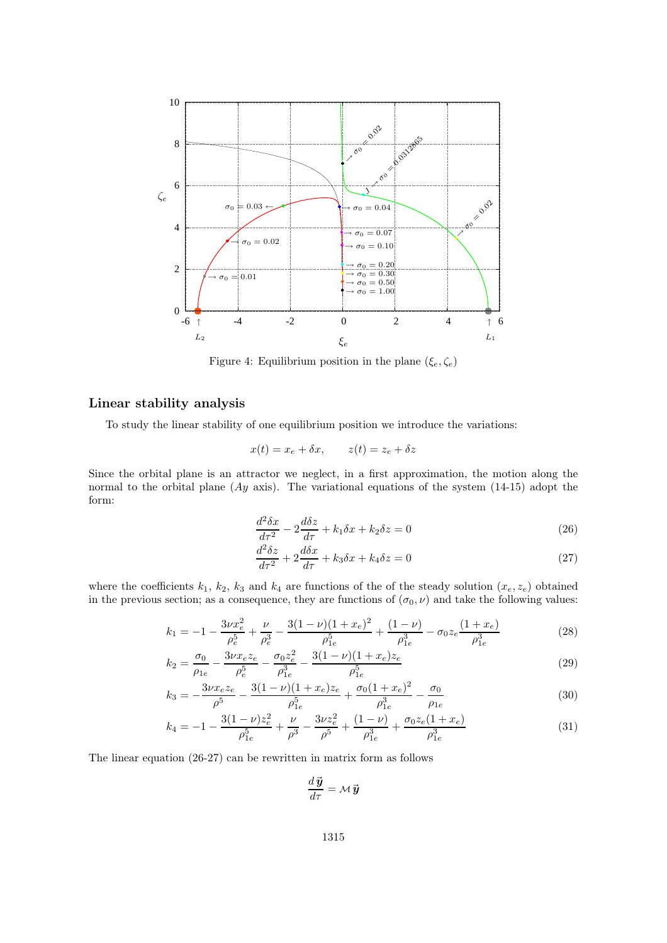

Figure 4: Equilibrium position in the plane  $(\xi_e, \zeta_e)$ 

### Linear stability analysis

To study the linear stability of one equilibrium position we introduce the variations:

$$
x(t) = x_e + \delta x, \qquad z(t) = z_e + \delta z
$$

Since the orbital plane is an attractor we neglect, in a first approximation, the motion along the normal to the orbital plane  $(Ay \text{ axis})$ . The variational equations of the system (14-15) adopt the form:

$$
\frac{d^2\delta x}{d\tau^2} - 2\frac{d\delta z}{d\tau} + k_1 \delta x + k_2 \delta z = 0
$$
\n(26)

$$
\frac{d^2\delta z}{dr^2} + 2\frac{d\delta x}{dr} + k_3 \delta x + k_4 \delta z = 0\tag{27}
$$

where the coefficients  $k_1, k_2, k_3$  and  $k_4$  are functions of the of the steady solution  $(x_e, z_e)$  obtained in the previous section; as a consequence, they are functions of  $(\sigma_0, \nu)$  and take the following values:

$$
k_1 = -1 - \frac{3\nu x_e^2}{\rho_e^5} + \frac{\nu}{\rho_e^3} - \frac{3(1-\nu)(1+x_e)^2}{\rho_{1e}^5} + \frac{(1-\nu)}{\rho_{1e}^3} - \sigma_0 z_e \frac{(1+x_e)}{\rho_{1e}^3}
$$
(28)

$$
k_2 = \frac{\sigma_0}{\rho_{1e}} - \frac{3\nu x_e z_e}{\rho_e^5} - \frac{\sigma_0 z_e^2}{\rho_{1e}^3} - \frac{3(1-\nu)(1+x_e)z_e}{\rho_{1e}^5}
$$
(29)

$$
k_3 = -\frac{3\nu x_e z_e}{\rho^5} - \frac{3(1-\nu)(1+x_e)z_e}{\rho_{1e}^5} + \frac{\sigma_0(1+x_e)^2}{\rho_{1e}^3} - \frac{\sigma_0}{\rho_{1e}}
$$
(30)

$$
k_4 = -1 - \frac{3(1 - \nu)z_e^2}{\rho_{1e}^5} + \frac{\nu}{\rho^3} - \frac{3\nu z_e^2}{\rho^5} + \frac{(1 - \nu)}{\rho_{1e}^3} + \frac{\sigma_0 z_e (1 + x_e)}{\rho_{1e}^3}
$$
(31)

The linear equation (26-27) can be rewritten in matrix form as follows

$$
\frac{d\,\vec{\boldsymbol{y}}}{d\tau} = \mathcal{M}\,\vec{\boldsymbol{y}}
$$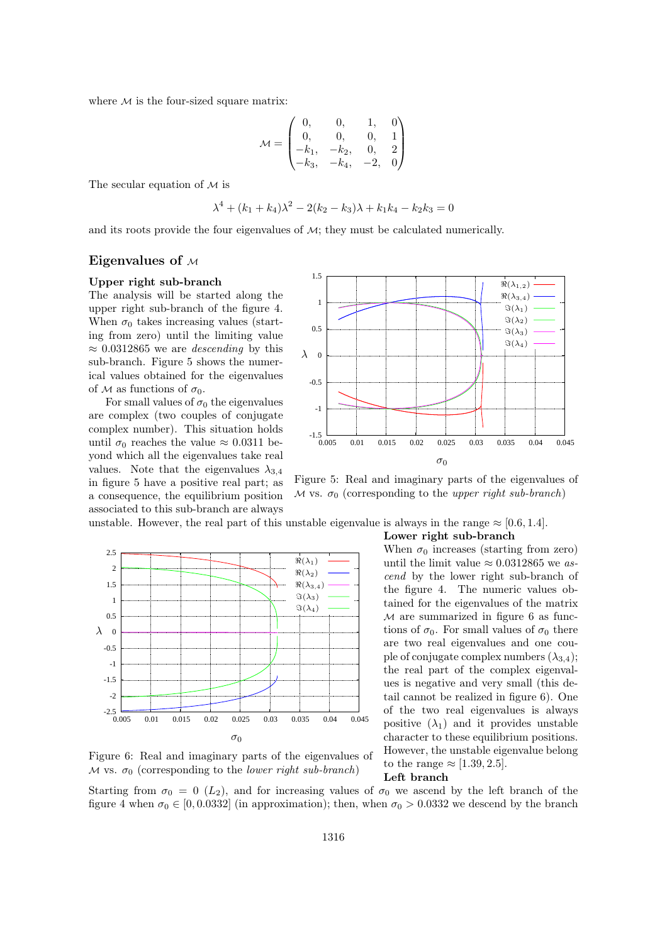where  $M$  is the four-sized square matrix:

$$
\mathcal{M} = \begin{pmatrix} 0, & 0, & 1, & 0 \\ 0, & 0, & 0, & 1 \\ -k_1, & -k_2, & 0, & 2 \\ -k_3, & -k_4, & -2, & 0 \end{pmatrix}
$$

The secular equation of  $M$  is

$$
\lambda^4 + (k_1 + k_4)\lambda^2 - 2(k_2 - k_3)\lambda + k_1k_4 - k_2k_3 = 0
$$

and its roots provide the four eigenvalues of  $\mathcal{M}$ ; they must be calculated numerically.

#### Eigenvalues of  $M$

#### Upper right sub-branch

The analysis will be started along the upper right sub-branch of the figure 4. When  $\sigma_0$  takes increasing values (starting from zero) until the limiting value  $\approx 0.0312865$  we are *descending* by this sub-branch. Figure 5 shows the numerical values obtained for the eigenvalues of M as functions of  $\sigma_0$ .

For small values of  $\sigma_0$  the eigenvalues are complex (two couples of conjugate complex number). This situation holds until  $\sigma_0$  reaches the value  $\approx 0.0311$  beyond which all the eigenvalues take real values. Note that the eigenvalues  $\lambda_{3,4}$ in figure 5 have a positive real part; as a consequence, the equilibrium position associated to this sub-branch are always



Figure 5: Real and imaginary parts of the eigenvalues of M vs.  $\sigma_0$  (corresponding to the upper right sub-branch)

unstable. However, the real part of this unstable eigenvalue is always in the range  $\approx [0.6, 1.4]$ .



Figure 6: Real and imaginary parts of the eigenvalues of M vs.  $\sigma_0$  (corresponding to the *lower right sub-branch*)

Lower right sub-branch

When  $\sigma_0$  increases (starting from zero) until the limit value  $\approx 0.0312865$  we ascend by the lower right sub-branch of the figure 4. The numeric values obtained for the eigenvalues of the matrix  $M$  are summarized in figure 6 as functions of  $\sigma_0$ . For small values of  $\sigma_0$  there are two real eigenvalues and one couple of conjugate complex numbers  $(\lambda_{3,4})$ ; the real part of the complex eigenvalues is negative and very small (this detail cannot be realized in figure 6). One of the two real eigenvalues is always positive  $(\lambda_1)$  and it provides unstable character to these equilibrium positions. However, the unstable eigenvalue belong to the range  $\approx$  [1.39, 2.5].

#### Left branch

Starting from  $\sigma_0 = 0$  (L<sub>2</sub>), and for increasing values of  $\sigma_0$  we ascend by the left branch of the figure 4 when  $\sigma_0 \in [0, 0.0332]$  (in approximation); then, when  $\sigma_0 > 0.0332$  we descend by the branch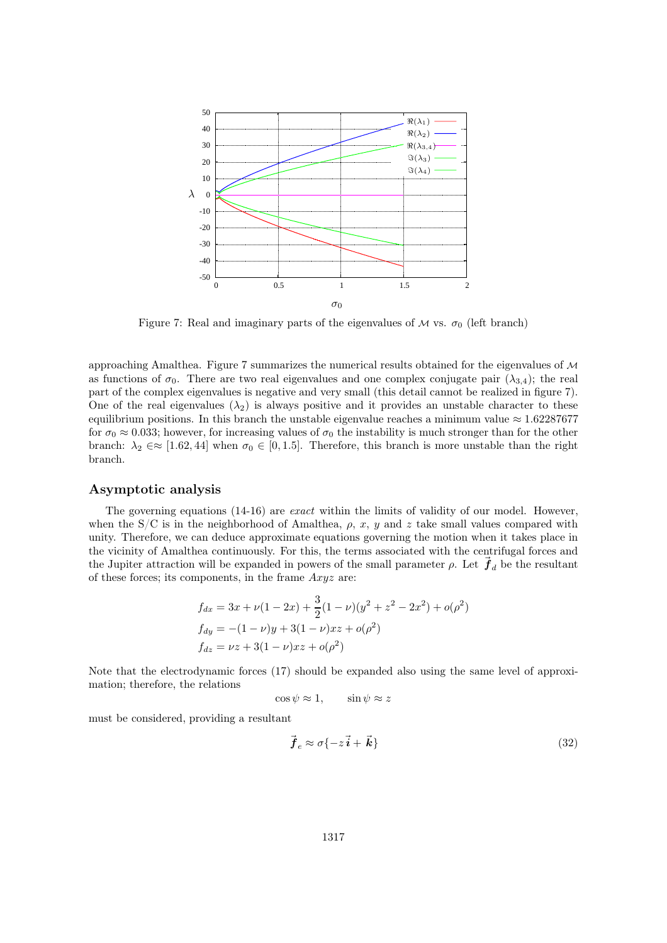

Figure 7: Real and imaginary parts of the eigenvalues of  $M$  vs.  $\sigma_0$  (left branch)

approaching Amalthea. Figure 7 summarizes the numerical results obtained for the eigenvalues of  $\mathcal M$ as functions of  $\sigma_0$ . There are two real eigenvalues and one complex conjugate pair  $(\lambda_{3,4})$ ; the real part of the complex eigenvalues is negative and very small (this detail cannot be realized in figure 7). One of the real eigenvalues  $(\lambda_2)$  is always positive and it provides an unstable character to these equilibrium positions. In this branch the unstable eigenvalue reaches a minimum value  $\approx 1.62287677$ for  $\sigma_0 \approx 0.033$ ; however, for increasing values of  $\sigma_0$  the instability is much stronger than for the other branch:  $\lambda_2 \in \approx [1.62, 44]$  when  $\sigma_0 \in [0, 1.5]$ . Therefore, this branch is more unstable than the right branch.

#### Asymptotic analysis

The governing equations (14-16) are exact within the limits of validity of our model. However, when the S/C is in the neighborhood of Amalthea,  $\rho$ , x, y and z take small values compared with unity. Therefore, we can deduce approximate equations governing the motion when it takes place in the vicinity of Amalthea continuously. For this, the terms associated with the centrifugal forces and the Jupiter attraction will be expanded in powers of the small parameter  $\rho$ . Let  $f_d$  be the resultant of these forces; its components, in the frame  $Axyz$  are:

$$
f_{dx} = 3x + \nu(1 - 2x) + \frac{3}{2}(1 - \nu)(y^2 + z^2 - 2x^2) + o(\rho^2)
$$
  
\n
$$
f_{dy} = -(1 - \nu)y + 3(1 - \nu)xz + o(\rho^2)
$$
  
\n
$$
f_{dz} = \nu z + 3(1 - \nu)xz + o(\rho^2)
$$

Note that the electrodynamic forces (17) should be expanded also using the same level of approximation; therefore, the relations

$$
\cos \psi \approx 1, \qquad \sin \psi \approx z
$$

must be considered, providing a resultant

$$
\vec{f}_e \approx \sigma \{-z\,\vec{i} + \vec{k}\}\tag{32}
$$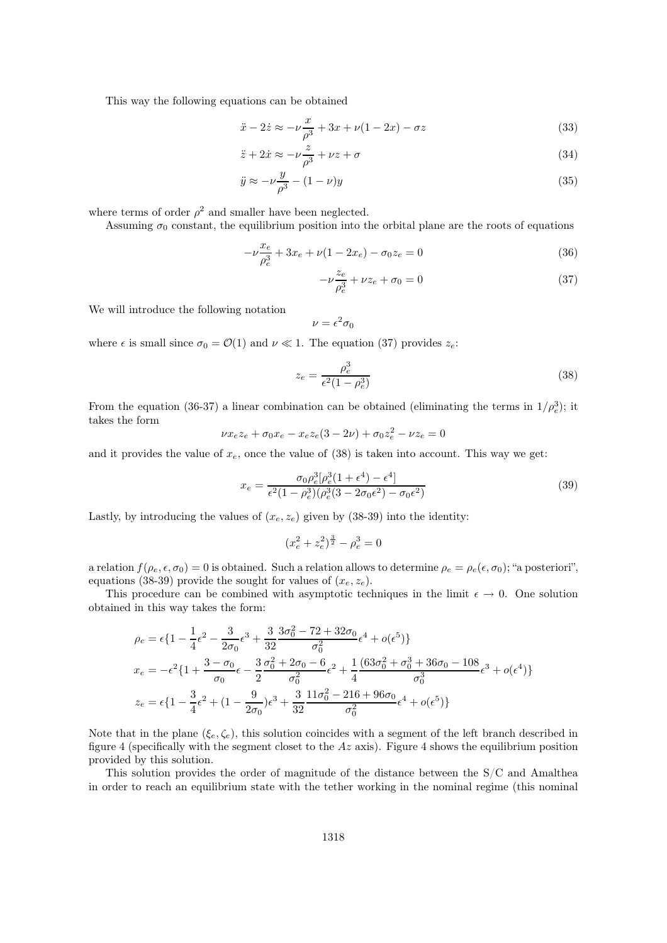This way the following equations can be obtained

$$
\ddot{x} - 2\dot{z} \approx -\nu \frac{x}{\rho^3} + 3x + \nu(1 - 2x) - \sigma z \tag{33}
$$

$$
\ddot{z} + 2\dot{x} \approx -\nu \frac{z}{\rho^3} + \nu z + \sigma \tag{34}
$$

$$
\ddot{y} \approx -\nu \frac{y}{\rho^3} - (1 - \nu)y \tag{35}
$$

where terms of order  $\rho^2$  and smaller have been neglected.

Assuming  $\sigma_0$  constant, the equilibrium position into the orbital plane are the roots of equations

$$
-\nu \frac{x_e}{\rho_e^3} + 3x_e + \nu (1 - 2x_e) - \sigma_0 z_e = 0
$$
\n(36)

$$
-\nu \frac{z_e}{\rho_e^3} + \nu z_e + \sigma_0 = 0 \tag{37}
$$

We will introduce the following notation

$$
\nu=\epsilon^2\sigma_0
$$

where  $\epsilon$  is small since  $\sigma_0 = \mathcal{O}(1)$  and  $\nu \ll 1$ . The equation (37) provides  $z_e$ .

$$
z_e = \frac{\rho_e^3}{\epsilon^2 (1 - \rho_e^3)}
$$
\n(38)

From the equation (36-37) a linear combination can be obtained (eliminating the terms in  $1/\rho_e^3$ ); it takes the form

$$
\nu x_e z_e + \sigma_0 x_e - x_e z_e (3 - 2\nu) + \sigma_0 z_e^2 - \nu z_e = 0
$$

and it provides the value of  $x_e$ , once the value of (38) is taken into account. This way we get:

$$
x_e = \frac{\sigma_0 \rho_e^3 [\rho_e^3 (1 + \epsilon^4) - \epsilon^4]}{\epsilon^2 (1 - \rho_e^3) (\rho_e^3 (3 - 2\sigma_0 \epsilon^2) - \sigma_0 \epsilon^2)}
$$
(39)

Lastly, by introducing the values of  $(x_e, z_e)$  given by (38-39) into the identity:

$$
(x_e^2 + z_e^2)^{\frac{3}{2}} - \rho_e^3 = 0
$$

a relation  $f(\rho_e, \epsilon, \sigma_0) = 0$  is obtained. Such a relation allows to determine  $\rho_e = \rho_e(\epsilon, \sigma_0)$ ; "a posteriori", equations (38-39) provide the sought for values of  $(x_e, z_e)$ .

This procedure can be combined with asymptotic techniques in the limit  $\epsilon \to 0$ . One solution obtained in this way takes the form:

$$
\rho_e = \epsilon \left\{ 1 - \frac{1}{4} \epsilon^2 - \frac{3}{2\sigma_0} \epsilon^3 + \frac{3}{32} \frac{3\sigma_0^2 - 72 + 32\sigma_0}{\sigma_0^2} \epsilon^4 + o(\epsilon^5) \right\}
$$
\n
$$
x_e = -\epsilon^2 \left\{ 1 + \frac{3 - \sigma_0}{\sigma_0} \epsilon - \frac{3}{2} \frac{\sigma_0^2 + 2\sigma_0 - 6}{\sigma_0^2} \epsilon^2 + \frac{1}{4} \frac{(63\sigma_0^2 + \sigma_0^3 + 36\sigma_0 - 108}{\sigma_0^3} \epsilon^3 + o(\epsilon^4) \right\}
$$
\n
$$
z_e = \epsilon \left\{ 1 - \frac{3}{4} \epsilon^2 + (1 - \frac{9}{2\sigma_0}) \epsilon^3 + \frac{3}{32} \frac{11\sigma_0^2 - 216 + 96\sigma_0}{\sigma_0^2} \epsilon^4 + o(\epsilon^5) \right\}
$$

Note that in the plane  $(\xi_e, \zeta_e)$ , this solution coincides with a segment of the left branch described in figure 4 (specifically with the segment closet to the  $Az$  axis). Figure 4 shows the equilibrium position provided by this solution.

This solution provides the order of magnitude of the distance between the S/C and Amalthea in order to reach an equilibrium state with the tether working in the nominal regime (this nominal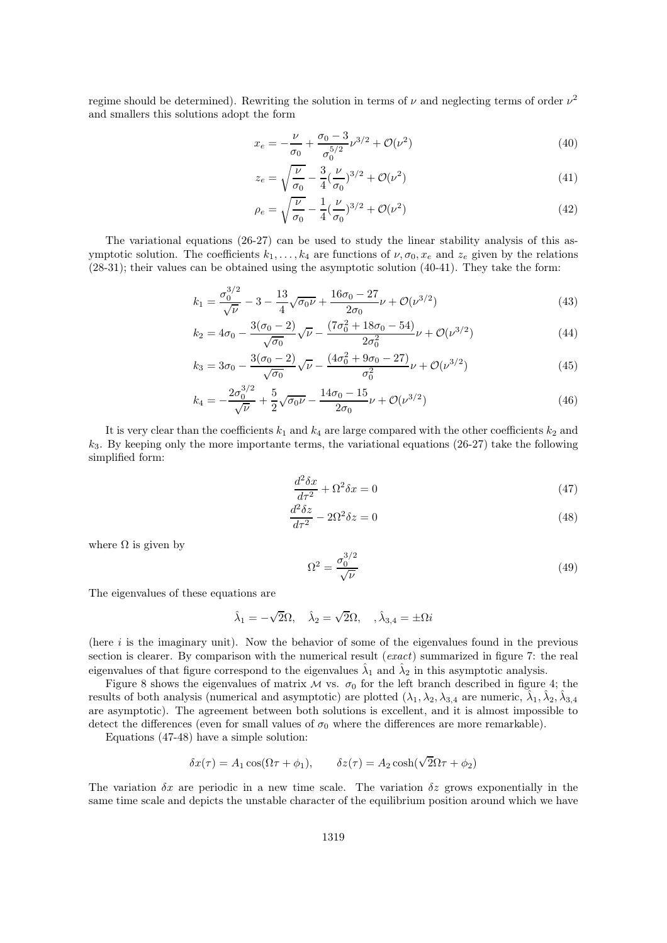regime should be determined). Rewriting the solution in terms of  $\nu$  and neglecting terms of order  $\nu^2$ and smallers this solutions adopt the form

$$
x_e = -\frac{\nu}{\sigma_0} + \frac{\sigma_0 - 3}{\sigma_0^{5/2}} \nu^{3/2} + \mathcal{O}(\nu^2)
$$
\n(40)

$$
z_e = \sqrt{\frac{\nu}{\sigma_0}} - \frac{3}{4} (\frac{\nu}{\sigma_0})^{3/2} + \mathcal{O}(\nu^2)
$$
\n(41)

$$
\rho_e = \sqrt{\frac{\nu}{\sigma_0}} - \frac{1}{4} (\frac{\nu}{\sigma_0})^{3/2} + \mathcal{O}(\nu^2)
$$
\n(42)

The variational equations (26-27) can be used to study the linear stability analysis of this asymptotic solution. The coefficients  $k_1, \ldots, k_4$  are functions of  $\nu, \sigma_0, x_e$  and  $z_e$  given by the relations (28-31); their values can be obtained using the asymptotic solution (40-41). They take the form:

$$
k_1 = \frac{\sigma_0^{3/2}}{\sqrt{\nu}} - 3 - \frac{13}{4} \sqrt{\sigma_0 \nu} + \frac{16\sigma_0 - 27}{2\sigma_0} \nu + \mathcal{O}(\nu^{3/2})
$$
(43)

$$
k_2 = 4\sigma_0 - \frac{3(\sigma_0 - 2)}{\sqrt{\sigma_0}}\sqrt{\nu} - \frac{(7\sigma_0^2 + 18\sigma_0 - 54)}{2\sigma_0^2}\nu + \mathcal{O}(\nu^{3/2})
$$
(44)

$$
k_3 = 3\sigma_0 - \frac{3(\sigma_0 - 2)}{\sqrt{\sigma_0}}\sqrt{\nu} - \frac{(4\sigma_0^2 + 9\sigma_0 - 27)}{\sigma_0^2}\nu + \mathcal{O}(\nu^{3/2})
$$
(45)

$$
k_4 = -\frac{2\sigma_0^{3/2}}{\sqrt{\nu}} + \frac{5}{2}\sqrt{\sigma_0 \nu} - \frac{14\sigma_0 - 15}{2\sigma_0} \nu + \mathcal{O}(\nu^{3/2})
$$
\n
$$
\tag{46}
$$

It is very clear than the coefficients  $k_1$  and  $k_4$  are large compared with the other coefficients  $k_2$  and  $k<sub>3</sub>$ . By keeping only the more importante terms, the variational equations (26-27) take the following simplified form:

$$
\frac{d^2\delta x}{d\tau^2} + \Omega^2 \delta x = 0\tag{47}
$$

$$
\frac{d^2\delta z}{d\tau^2} - 2\Omega^2 \delta z = 0\tag{48}
$$

where  $\Omega$  is given by

$$
\Omega^2 = \frac{\sigma_0^{3/2}}{\sqrt{\nu}}\tag{49}
$$

The eigenvalues of these equations are

$$
\hat{\lambda}_1 = -\sqrt{2}\Omega, \quad \hat{\lambda}_2 = \sqrt{2}\Omega, \quad , \hat{\lambda}_{3,4} = \pm \Omega i
$$

(here  $i$  is the imaginary unit). Now the behavior of some of the eigenvalues found in the previous section is clearer. By comparison with the numerical result (exact) summarized in figure 7: the real eigenvalues of that figure correspond to the eigenvalues  $\hat{\lambda}_1$  and  $\hat{\lambda}_2$  in this asymptotic analysis.

Figure 8 shows the eigenvalues of matrix  $M$  vs.  $\sigma_0$  for the left branch described in figure 4; the results of both analysis (numerical and asymptotic) are plotted  $(\lambda_1, \lambda_2, \lambda_{3,4}$  are numeric,  $\hat{\lambda}_1, \hat{\lambda}_2, \hat{\lambda}_{3,4}$ are asymptotic). The agreement between both solutions is excellent, and it is almost impossible to detect the differences (even for small values of  $\sigma_0$  where the differences are more remarkable).

Equations (47-48) have a simple solution:

$$
\delta x(\tau) = A_1 \cos(\Omega \tau + \phi_1), \qquad \delta z(\tau) = A_2 \cosh(\sqrt{2}\Omega \tau + \phi_2)
$$

The variation  $\delta x$  are periodic in a new time scale. The variation  $\delta z$  grows exponentially in the same time scale and depicts the unstable character of the equilibrium position around which we have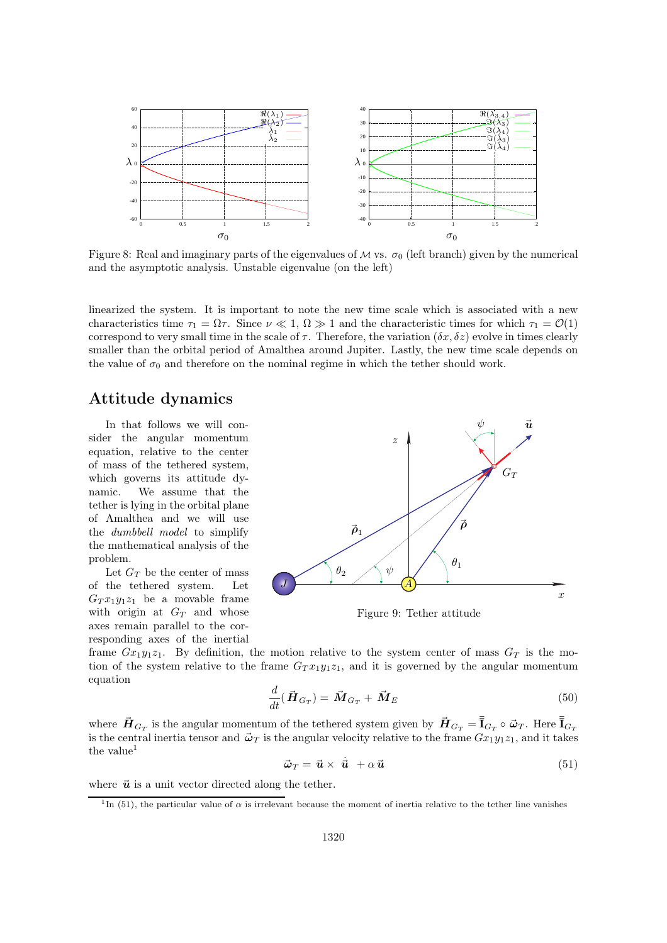

Figure 8: Real and imaginary parts of the eigenvalues of  $\mathcal M$  vs.  $\sigma_0$  (left branch) given by the numerical and the asymptotic analysis. Unstable eigenvalue (on the left)

linearized the system. It is important to note the new time scale which is associated with a new characteristics time  $\tau_1 = \Omega \tau$ . Since  $\nu \ll 1$ ,  $\Omega \gg 1$  and the characteristic times for which  $\tau_1 = \mathcal{O}(1)$ correspond to very small time in the scale of  $\tau$ . Therefore, the variation  $(\delta x, \delta z)$  evolve in times clearly smaller than the orbital period of Amalthea around Jupiter. Lastly, the new time scale depends on the value of  $\sigma_0$  and therefore on the nominal regime in which the tether should work.

# Attitude dynamics

In that follows we will consider the angular momentum equation, relative to the center of mass of the tethered system, which governs its attitude dynamic. We assume that the tether is lying in the orbital plane of Amalthea and we will use the dumbbell model to simplify the mathematical analysis of the problem.

Let  $G_T$  be the center of mass of the tethered system. Let  $G_T x_1 y_1 z_1$  be a movable frame with origin at  $G_T$  and whose axes remain parallel to the corresponding axes of the inertial



Figure 9: Tether attitude

frame  $Gx_1y_1z_1$ . By definition, the motion relative to the system center of mass  $G_T$  is the motion of the system relative to the frame  $G_T x_1 y_1 z_1$ , and it is governed by the angular momentum equation

$$
\frac{d}{dt}(\vec{H}_{G_T}) = \vec{M}_{G_T} + \vec{M}_E
$$
\n(50)

where  $\vec{H}_{G_T}$  is the angular momentum of the tethered system given by  $\vec{H}_{G_T} = \overline{\overline{\overline{\mathbf{I}}}}_{G_T} \circ \vec{\omega}_T$ . Here  $\overline{\overline{\mathbf{I}}}_{G_T}$ is the central inertia tensor and  $\vec{\omega}_T$  is the angular velocity relative to the frame  $Gx_1y_1z_1$ , and it takes the value<sup>1</sup>

$$
\vec{\omega}_T = \vec{\mathbf{u}} \times \dot{\vec{\mathbf{u}}} + \alpha \vec{\mathbf{u}} \tag{51}
$$

where  $\vec{u}$  is a unit vector directed along the tether.

<sup>&</sup>lt;sup>1</sup>In (51), the particular value of  $\alpha$  is irrelevant because the moment of inertia relative to the tether line vanishes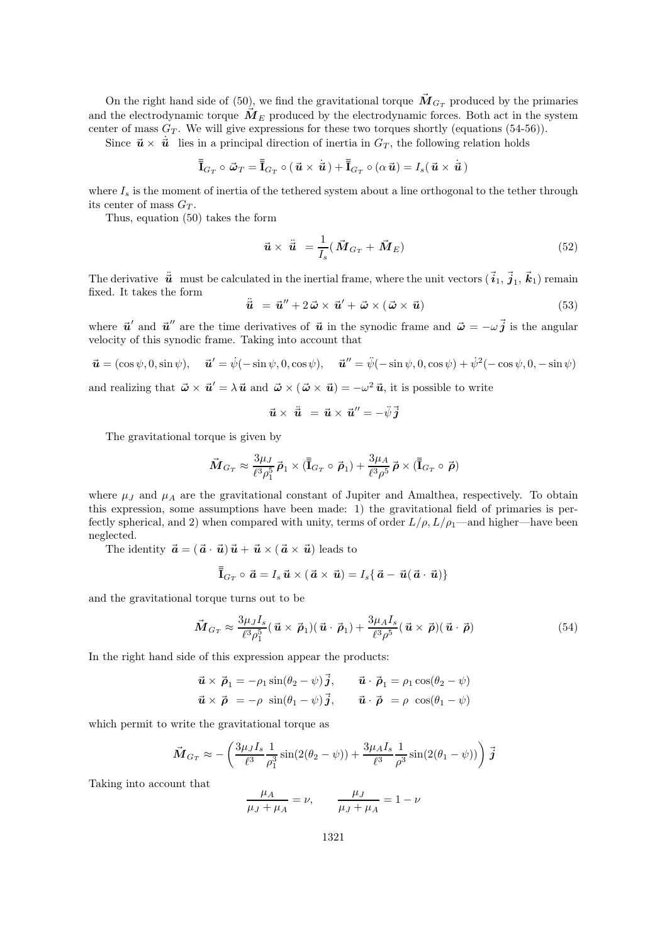On the right hand side of (50), we find the gravitational torque  $\overline{M}_{G_T}$  produced by the primaries and the electrodynamic torque  $\bar{M}_{E}$  produced by the electrodynamic forces. Both act in the system center of mass  $G_T$ . We will give expressions for these two torques shortly (equations (54-56)).

Since  $\vec{u} \times \dot{\vec{u}}$  lies in a principal direction of inertia in  $G_T$ , the following relation holds

$$
\overline{\overline{\mathbf{I}}}_{G_T} \circ \vec{\boldsymbol{\omega}}_T = \overline{\overline{\mathbf{I}}}_{G_T} \circ (\vec{\boldsymbol{u}} \times \dot{\vec{\boldsymbol{u}}}) + \overline{\overline{\mathbf{I}}}_{G_T} \circ (\alpha \vec{\boldsymbol{u}}) = I_s (\vec{\boldsymbol{u}} \times \dot{\vec{\boldsymbol{u}}})
$$

where  $I_s$  is the moment of inertia of the tethered system about a line orthogonal to the tether through its center of mass  $G_T$ .

Thus, equation (50) takes the form

$$
\vec{u} \times \ddot{\vec{u}} = \frac{1}{I_s} (\vec{M}_{G_T} + \vec{M}_E)
$$
\n(52)

The derivative  $\vec{\vec{u}}$  must be calculated in the inertial frame, where the unit vectors  $(\vec{i}_1, \vec{j}_1, \vec{k}_1)$  remain fixed. It takes the form

 $\ddot{\vec{u}} = \vec{u}'' + 2 \vec{\omega} \times \vec{u}' + \vec{\omega} \times (\vec{\omega} \times \vec{u})$  (53)

where  $\vec{u}'$  and  $\vec{u}''$  are the time derivatives of  $\vec{u}$  in the synodic frame and  $\vec{\omega} = -\omega \vec{j}$  is the angular velocity of this synodic frame. Taking into account that

$$
\vec{\mathbf{u}} = (\cos \psi, 0, \sin \psi), \quad \vec{\mathbf{u}}' = \dot{\psi}(-\sin \psi, 0, \cos \psi), \quad \vec{\mathbf{u}}'' = \ddot{\psi}(-\sin \psi, 0, \cos \psi) + \dot{\psi}^2(-\cos \psi, 0, -\sin \psi)
$$

and realizing that  $\vec{\omega} \times \vec{\mathbf{u}}' = \lambda \vec{\mathbf{u}}$  and  $\vec{\omega} \times (\vec{\omega} \times \vec{\mathbf{u}}) = -\omega^2 \vec{\mathbf{u}}$ , it is possible to write

$$
\vec{u} \times \ddot{\vec{u}} = \vec{u} \times \vec{u}'' = -\ddot{\psi}\vec{j}
$$

The gravitational torque is given by

$$
\vec{M}_{G_T} \approx \frac{3\mu_J}{\ell^3\rho_1^5} \vec{\rho}_1 \times (\bar{\bar{{\bf I}}}_{G_T} \circ \vec{\rho}_1) + \frac{3\mu_A}{\ell^3\rho^5} \vec{\rho} \times (\bar{\bar{{\bf I}}}_{G_T} \circ \vec{\rho})
$$

where  $\mu_J$  and  $\mu_A$  are the gravitational constant of Jupiter and Amalthea, respectively. To obtain this expression, some assumptions have been made: 1) the gravitational field of primaries is perfectly spherical, and 2) when compared with unity, terms of order  $L/\rho$ ,  $L/\rho_1$ —and higher—have been neglected.

The identity  $\vec{a} = (\vec{a} \cdot \vec{u})\vec{u} + \vec{u} \times (\vec{a} \times \vec{u})$  leads to

$$
\bar{\bar{\mathbf{I}}}_{G_T} \circ \vec{\mathbf{a}} = I_s \vec{\mathbf{u}} \times (\vec{\mathbf{a}} \times \vec{\mathbf{u}}) = I_s \{ \vec{\mathbf{a}} - \vec{\mathbf{u}} (\vec{\mathbf{a}} \cdot \vec{\mathbf{u}}) \}
$$

and the gravitational torque turns out to be

$$
\vec{M}_{G_T} \approx \frac{3\mu_J I_s}{\ell^3 \rho_1^5} (\vec{\mathbf{u}} \times \vec{\boldsymbol{\rho}}_1)(\vec{\mathbf{u}} \cdot \vec{\boldsymbol{\rho}}_1) + \frac{3\mu_A I_s}{\ell^3 \rho^5} (\vec{\mathbf{u}} \times \vec{\boldsymbol{\rho}})(\vec{\mathbf{u}} \cdot \vec{\boldsymbol{\rho}})
$$
(54)

In the right hand side of this expression appear the products:

$$
\vec{\mathbf{u}} \times \vec{\boldsymbol{\rho}}_1 = -\rho_1 \sin(\theta_2 - \psi) \vec{\mathbf{j}}, \qquad \vec{\mathbf{u}} \cdot \vec{\boldsymbol{\rho}}_1 = \rho_1 \cos(\theta_2 - \psi)
$$
  

$$
\vec{\mathbf{u}} \times \vec{\boldsymbol{\rho}}_1 = -\rho \sin(\theta_1 - \psi) \vec{\mathbf{j}}, \qquad \vec{\mathbf{u}} \cdot \vec{\boldsymbol{\rho}}_1 = \rho \cos(\theta_1 - \psi)
$$

which permit to write the gravitational torque as

$$
\vec{M}_{G_T} \approx -\left(\frac{3\mu_J I_s}{\ell^3} \frac{1}{\rho_1^3} \sin(2(\theta_2 - \psi)) + \frac{3\mu_A I_s}{\ell^3} \frac{1}{\rho^3} \sin(2(\theta_1 - \psi))\right) \vec{j}
$$

Taking into account that

$$
\frac{\mu_A}{\mu_J + \mu_A} = \nu, \qquad \frac{\mu_J}{\mu_J + \mu_A} = 1 - \nu
$$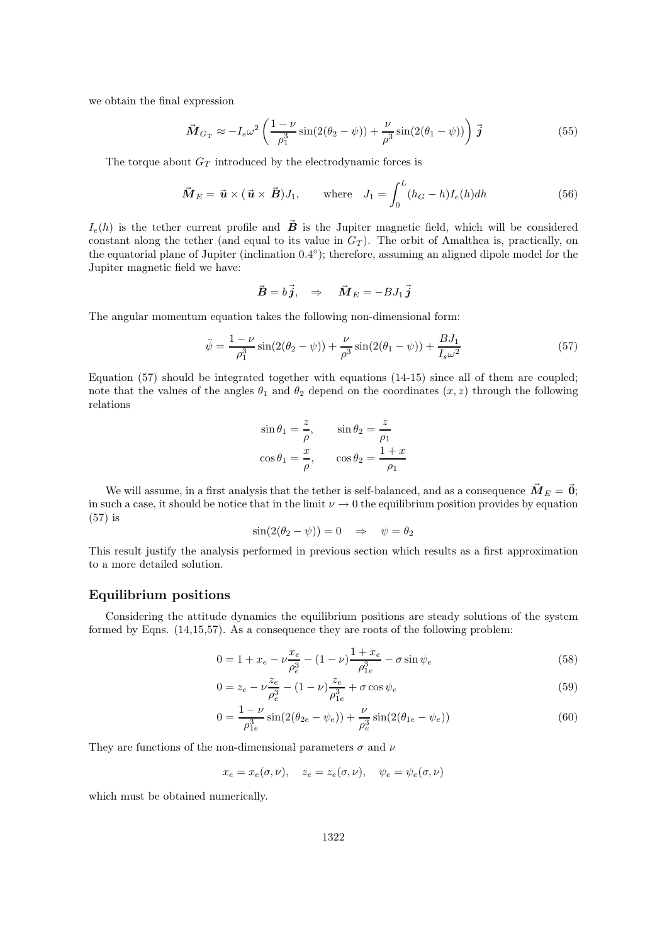we obtain the final expression

$$
\vec{M}_{Gr} \approx -I_s \omega^2 \left( \frac{1-\nu}{\rho_1^3} \sin(2(\theta_2 - \psi)) + \frac{\nu}{\rho^3} \sin(2(\theta_1 - \psi)) \right) \vec{j}
$$
\n(55)

The torque about  $G_T$  introduced by the electrodynamic forces is

$$
\vec{M}_E = \vec{u} \times (\vec{u} \times \vec{B})J_1, \quad \text{where} \quad J_1 = \int_0^L (h_G - h)I_e(h)dh \tag{56}
$$

 $I_e(h)$  is the tether current profile and  $\vec{B}$  is the Jupiter magnetic field, which will be considered constant along the tether (and equal to its value in  $G_T$ ). The orbit of Amalthea is, practically, on the equatorial plane of Jupiter (inclination 0.4°); therefore, assuming an aligned dipole model for the Jupiter magnetic field we have:

$$
\vec{B} = b\vec{j}, \Rightarrow \vec{M}_E = -BJ_1\vec{j}
$$

The angular momentum equation takes the following non-dimensional form:

$$
\ddot{\psi} = \frac{1 - \nu}{\rho_1^3} \sin(2(\theta_2 - \psi)) + \frac{\nu}{\rho^3} \sin(2(\theta_1 - \psi)) + \frac{BJ_1}{I_s \omega^2}
$$
(57)

Equation (57) should be integrated together with equations (14-15) since all of them are coupled; note that the values of the angles  $\theta_1$  and  $\theta_2$  depend on the coordinates  $(x, z)$  through the following relations

$$
\sin \theta_1 = \frac{z}{\rho}, \qquad \sin \theta_2 = \frac{z}{\rho_1}
$$

$$
\cos \theta_1 = \frac{x}{\rho}, \qquad \cos \theta_2 = \frac{1+x}{\rho_1}
$$

We will assume, in a first analysis that the tether is self-balanced, and as a consequence  $\vec{M}_{E} = \vec{0}$ ; in such a case, it should be notice that in the limit  $\nu \to 0$  the equilibrium position provides by equation (57) is

$$
\sin(2(\theta_2 - \psi)) = 0 \quad \Rightarrow \quad \psi = \theta_2
$$

This result justify the analysis performed in previous section which results as a first approximation to a more detailed solution.

#### Equilibrium positions

Considering the attitude dynamics the equilibrium positions are steady solutions of the system formed by Eqns. (14,15,57). As a consequence they are roots of the following problem:

$$
0 = 1 + x_e - \nu \frac{x_e}{\rho_e^3} - (1 - \nu) \frac{1 + x_e}{\rho_{1e}^3} - \sigma \sin \psi_e
$$
 (58)

$$
0 = z_e - \nu \frac{z_e}{\rho_e^3} - (1 - \nu) \frac{z_e}{\rho_{1e}^3} + \sigma \cos \psi_e
$$
 (59)

$$
0 = \frac{1 - \nu}{\rho_{1e}^3} \sin(2(\theta_{2e} - \psi_e)) + \frac{\nu}{\rho_e^3} \sin(2(\theta_{1e} - \psi_e))
$$
(60)

They are functions of the non-dimensional parameters  $\sigma$  and  $\nu$ 

$$
x_e = x_e(\sigma, \nu), \quad z_e = z_e(\sigma, \nu), \quad \psi_e = \psi_e(\sigma, \nu)
$$

which must be obtained numerically.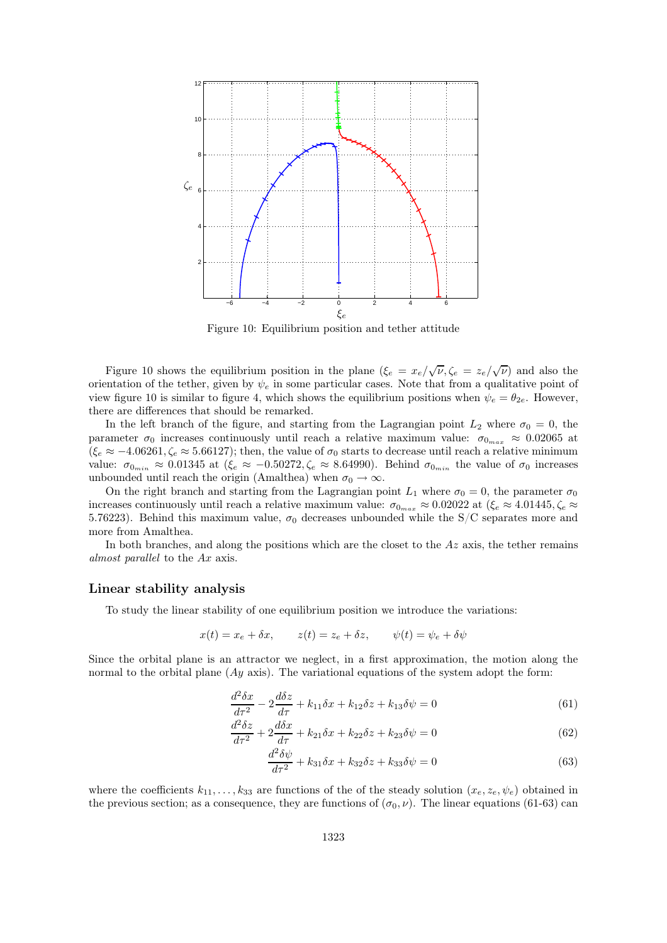

Figure 10: Equilibrium position and tether attitude

Figure 10 shows the equilibrium position in the plane  $(\xi_e = x_e/\sqrt{\nu}, \zeta_e = z_e/\sqrt{\nu})$  and also the orientation of the tether, given by  $\psi_e$  in some particular cases. Note that from a qualitative point of view figure 10 is similar to figure 4, which shows the equilibrium positions when  $\psi_e = \theta_{2e}$ . However, there are differences that should be remarked.

In the left branch of the figure, and starting from the Lagrangian point  $L_2$  where  $\sigma_0 = 0$ , the parameter  $\sigma_0$  increases continuously until reach a relative maximum value:  $\sigma_{0_{max}} \approx 0.02065$  at  $(\xi_e \approx -4.06261, \zeta_e \approx 5.66127)$ ; then, the value of  $\sigma_0$  starts to decrease until reach a relative minimum value:  $\sigma_{0_{min}} \approx 0.01345$  at  $(\xi_e \approx -0.50272, \zeta_e \approx 8.64990)$ . Behind  $\sigma_{0_{min}}$  the value of  $\sigma_0$  increases unbounded until reach the origin (Amalthea) when  $\sigma_0 \rightarrow \infty$ .

On the right branch and starting from the Lagrangian point  $L_1$  where  $\sigma_0 = 0$ , the parameter  $\sigma_0$ increases continuously until reach a relative maximum value:  $\sigma_{0_{max}} \approx 0.02022$  at  $(\xi_e \approx 4.01445, \zeta_e \approx 0.02022)$ 5.76223). Behind this maximum value,  $\sigma_0$  decreases unbounded while the S/C separates more and more from Amalthea.

In both branches, and along the positions which are the closet to the  $Az$  axis, the tether remains almost parallel to the Ax axis.

#### Linear stability analysis

To study the linear stability of one equilibrium position we introduce the variations:

$$
x(t) = x_e + \delta x, \qquad z(t) = z_e + \delta z, \qquad \psi(t) = \psi_e + \delta \psi
$$

Since the orbital plane is an attractor we neglect, in a first approximation, the motion along the normal to the orbital plane  $(Ay \text{ axis})$ . The variational equations of the system adopt the form:

$$
\frac{d^2\delta x}{d\tau^2} - 2\frac{d\delta z}{d\tau} + k_{11}\delta x + k_{12}\delta z + k_{13}\delta \psi = 0\tag{61}
$$

$$
\frac{d^2\delta z}{d\tau^2} + 2\frac{d\delta x}{d\tau} + k_{21}\delta x + k_{22}\delta z + k_{23}\delta\psi = 0\tag{62}
$$

$$
\frac{d^2\delta\psi}{d\tau^2} + k_{31}\delta x + k_{32}\delta z + k_{33}\delta\psi = 0\tag{63}
$$

where the coefficients  $k_{11}, \ldots, k_{33}$  are functions of the of the steady solution  $(x_e, z_e, \psi_e)$  obtained in the previous section; as a consequence, they are functions of  $(\sigma_0, \nu)$ . The linear equations (61-63) can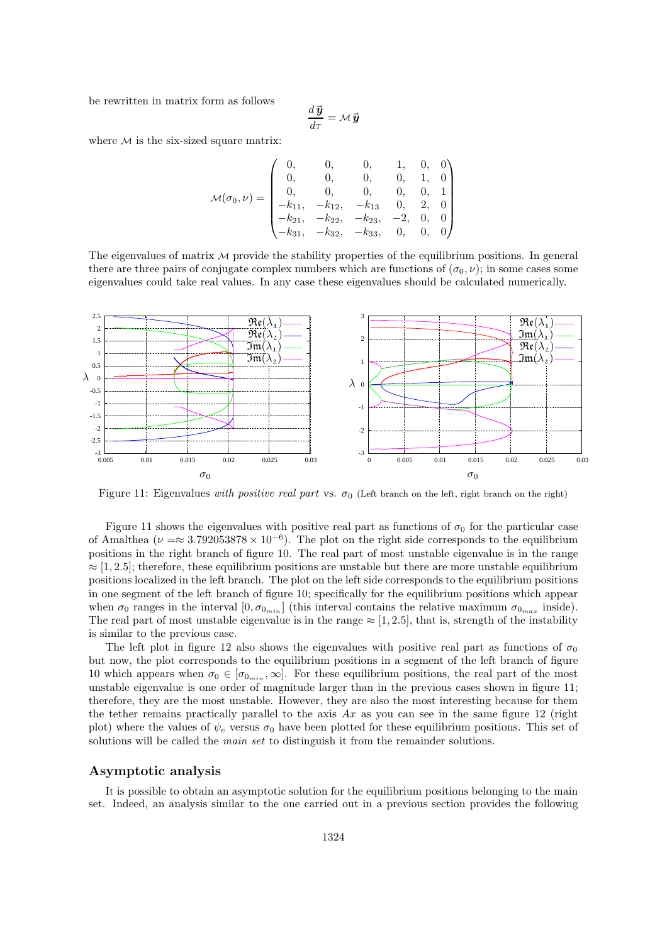be rewritten in matrix form as follows

$$
\frac{d\,\vec{\boldsymbol{y}}}{d\tau} = \mathcal{M}\,\vec{\boldsymbol{y}}
$$

where  $M$  is the six-sized square matrix:

$$
\mathcal{M}(\sigma_0, \nu) = \begin{pmatrix}\n0, & 0, & 0, & 1, & 0, & 0 \\
0, & 0, & 0, & 0, & 1, & 0 \\
0, & 0, & 0, & 0, & 0, & 1 \\
-k_{11}, & -k_{12}, & -k_{13} & 0, & 2, & 0 \\
-k_{21}, & -k_{22}, & -k_{23}, & -2, & 0, & 0 \\
-k_{31}, & -k_{32}, & -k_{33}, & 0, & 0, & 0\n\end{pmatrix}
$$

The eigenvalues of matrix  $M$  provide the stability properties of the equilibrium positions. In general there are three pairs of conjugate complex numbers which are functions of  $(\sigma_0, \nu)$ ; in some cases some eigenvalues could take real values. In any case these eigenvalues should be calculated numerically.



Figure 11: Eigenvalues with positive real part vs.  $\sigma_0$  (Left branch on the left, right branch on the right)

Figure 11 shows the eigenvalues with positive real part as functions of  $\sigma_0$  for the particular case of Amalthea ( $\nu = \approx 3.792053878 \times 10^{-6}$ ). The plot on the right side corresponds to the equilibrium positions in the right branch of figure 10. The real part of most unstable eigenvalue is in the range  $\approx$  [1, 2.5]; therefore, these equilibrium positions are unstable but there are more unstable equilibrium positions localized in the left branch. The plot on the left side corresponds to the equilibrium positions in one segment of the left branch of figure 10; specifically for the equilibrium positions which appear when  $\sigma_0$  ranges in the interval  $[0, \sigma_{0_{min}}]$  (this interval contains the relative maximum  $\sigma_{0_{max}}$  inside). The real part of most unstable eigenvalue is in the range  $\approx$  [1, 2.5], that is, strength of the instability is similar to the previous case.

The left plot in figure 12 also shows the eigenvalues with positive real part as functions of  $\sigma_0$ but now, the plot corresponds to the equilibrium positions in a segment of the left branch of figure 10 which appears when  $\sigma_0 \in [\sigma_{0_{min}}, \infty]$ . For these equilibrium positions, the real part of the most unstable eigenvalue is one order of magnitude larger than in the previous cases shown in figure 11; therefore, they are the most unstable. However, they are also the most interesting because for them the tether remains practically parallel to the axis  $Ax$  as you can see in the same figure 12 (right plot) where the values of  $\psi_e$  versus  $\sigma_0$  have been plotted for these equilibrium positions. This set of solutions will be called the *main set* to distinguish it from the remainder solutions.

#### Asymptotic analysis

It is possible to obtain an asymptotic solution for the equilibrium positions belonging to the main set. Indeed, an analysis similar to the one carried out in a previous section provides the following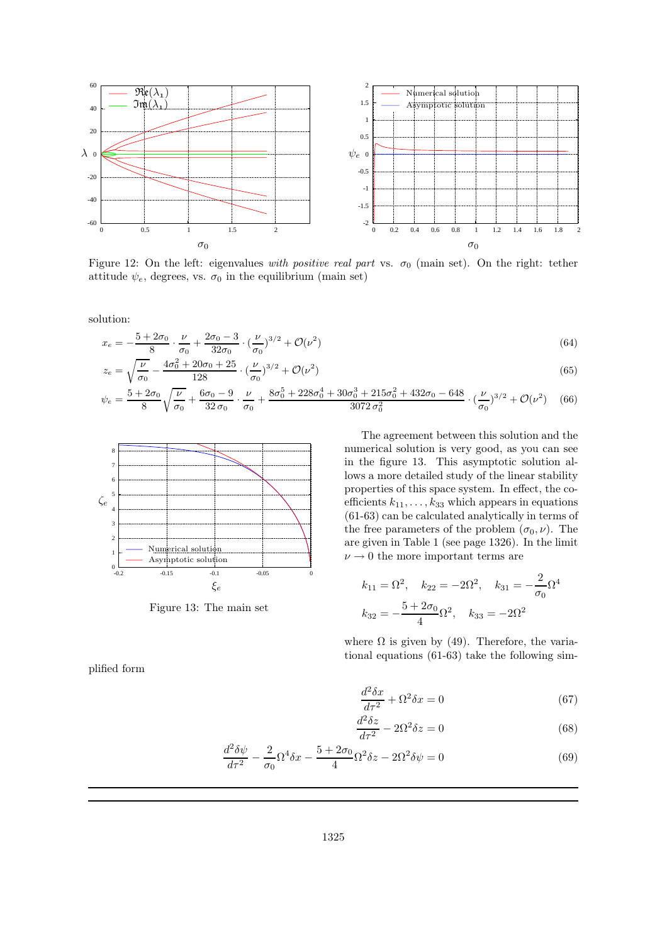

Figure 12: On the left: eigenvalues with positive real part vs.  $\sigma_0$  (main set). On the right: tether attitude  $\psi_e$ , degrees, vs.  $\sigma_0$  in the equilibrium (main set)

solution:

$$
x_e = -\frac{5 + 2\sigma_0}{8} \cdot \frac{\nu}{\sigma_0} + \frac{2\sigma_0 - 3}{32\sigma_0} \cdot \left(\frac{\nu}{\sigma_0}\right)^{3/2} + \mathcal{O}(\nu^2)
$$
\n(64)

$$
z_e = \sqrt{\frac{\nu}{\sigma_0}} - \frac{4\sigma_0^2 + 20\sigma_0 + 25}{128} \cdot \left(\frac{\nu}{\sigma_0}\right)^{3/2} + \mathcal{O}(\nu^2)
$$
\n(65)

$$
\psi_e = \frac{5 + 2\sigma_0}{8} \sqrt{\frac{\nu}{\sigma_0}} + \frac{6\sigma_0 - 9}{32 \sigma_0} \cdot \frac{\nu}{\sigma_0} + \frac{8\sigma_0^5 + 228\sigma_0^4 + 30\sigma_0^3 + 215\sigma_0^2 + 432\sigma_0 - 648}{3072 \sigma_0^2} \cdot \left(\frac{\nu}{\sigma_0}\right)^{3/2} + \mathcal{O}(\nu^2) \tag{66}
$$



Figure 13: The main set

The agreement between this solution and the numerical solution is very good, as you can see in the figure 13. This asymptotic solution allows a more detailed study of the linear stability properties of this space system. In effect, the coefficients  $k_{11}, \ldots, k_{33}$  which appears in equations (61-63) can be calculated analytically in terms of the free parameters of the problem  $(\sigma_0, \nu)$ . The are given in Table 1 (see page 1326). In the limit  $\nu \rightarrow 0$  the more important terms are

$$
k_{11} = \Omega^2
$$
,  $k_{22} = -2\Omega^2$ ,  $k_{31} = -\frac{2}{\sigma_0}\Omega^4$   
 $k_{32} = -\frac{5 + 2\sigma_0}{4}\Omega^2$ ,  $k_{33} = -2\Omega^2$ 

where  $\Omega$  is given by (49). Therefore, the variational equations (61-63) take the following sim-

plified form

$$
\frac{d^2\delta x}{d\tau^2} + \Omega^2 \delta x = 0\tag{67}
$$

$$
\frac{d^2\delta z}{d\tau^2} - 2\Omega^2 \delta z = 0\tag{68}
$$

$$
\frac{d^2\delta\psi}{d\tau^2} - \frac{2}{\sigma_0}\Omega^4 \delta x - \frac{5 + 2\sigma_0}{4}\Omega^2 \delta z - 2\Omega^2 \delta \psi = 0
$$
\n(69)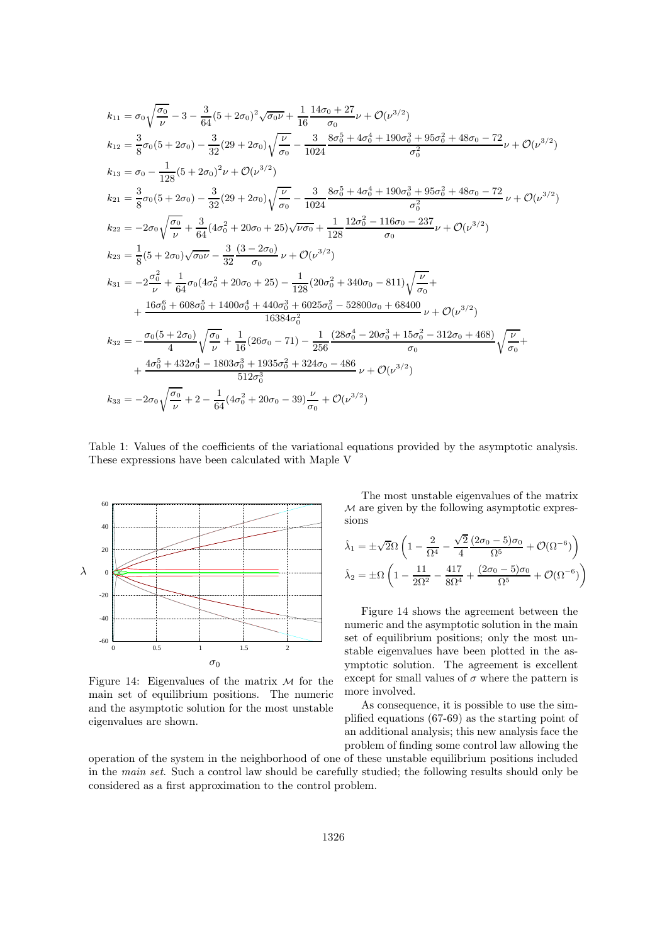$$
k_{11} = \sigma_0 \sqrt{\frac{\sigma_0}{\nu}} - 3 - \frac{3}{64} (5 + 2\sigma_0)^2 \sqrt{\sigma_0 \nu} + \frac{1}{16} \frac{14\sigma_0 + 27}{\sigma_0} \nu + \mathcal{O}(\nu^{3/2})
$$
  
\n
$$
k_{12} = \frac{3}{8}\sigma_0 (5 + 2\sigma_0) - \frac{3}{32} (29 + 2\sigma_0) \sqrt{\frac{\nu}{\sigma_0}} - \frac{3}{1024} \frac{8\sigma_0^5 + 4\sigma_0^4 + 190\sigma_0^3 + 95\sigma_0^2 + 48\sigma_0 - 72}{\sigma_0^2} \nu + \mathcal{O}(\nu^{3/2})
$$
  
\n
$$
k_{13} = \sigma_0 - \frac{1}{128} (5 + 2\sigma_0)^2 \nu + \mathcal{O}(\nu^{3/2})
$$
  
\n
$$
k_{21} = \frac{3}{8}\sigma_0 (5 + 2\sigma_0) - \frac{3}{32} (29 + 2\sigma_0) \sqrt{\frac{\nu}{\sigma_0}} - \frac{3}{1024} \frac{8\sigma_0^5 + 4\sigma_0^4 + 190\sigma_0^3 + 95\sigma_0^2 + 48\sigma_0 - 72}{\sigma_0^2} \nu + \mathcal{O}(\nu^{3/2})
$$
  
\n
$$
k_{22} = -2\sigma_0 \sqrt{\frac{\sigma_0}{\nu}} + \frac{3}{64} (4\sigma_0^2 + 20\sigma_0 + 25) \sqrt{\nu \sigma_0} + \frac{1}{128} \frac{12\sigma_0^2 - 116\sigma_0 - 237}{\sigma_0} \nu + \mathcal{O}(\nu^{3/2})
$$
  
\n
$$
k_{31} = -2\frac{\sigma_0^2}{\nu} + \frac{1}{64} \sigma_0 (4\sigma_0^2 + 20\sigma_0 + 25) - \frac{1}{128} (20\sigma_0^2 + 340\sigma_0 - 811) \sqrt{\frac{\nu}{\sigma_0}} +
$$
  
\n
$$
+ \frac{16\sigma_0^6 + 608\sigma_0^5 + 1400\sigma
$$

Table 1: Values of the coefficients of the variational equations provided by the asymptotic analysis. These expressions have been calculated with Maple V



Figure 14: Eigenvalues of the matrix  $M$  for the main set of equilibrium positions. The numeric and the asymptotic solution for the most unstable eigenvalues are shown.

The most unstable eigenvalues of the matrix M are given by the following asymptotic expressions

$$
\begin{aligned} \hat{\lambda}_1 &= \pm \sqrt{2} \Omega \left( 1 - \frac{2}{\Omega^4} - \frac{\sqrt{2}}{4} \frac{(2\sigma_0 - 5)\sigma_0}{\Omega^5} + \mathcal{O}(\Omega^{-6}) \right) \\ \hat{\lambda}_2 &= \pm \Omega \left( 1 - \frac{11}{2\Omega^2} - \frac{417}{8\Omega^4} + \frac{(2\sigma_0 - 5)\sigma_0}{\Omega^5} + \mathcal{O}(\Omega^{-6}) \right) \end{aligned}
$$

Figure 14 shows the agreement between the numeric and the asymptotic solution in the main set of equilibrium positions; only the most unstable eigenvalues have been plotted in the asymptotic solution. The agreement is excellent except for small values of  $\sigma$  where the pattern is more involved.

As consequence, it is possible to use the simplified equations (67-69) as the starting point of an additional analysis; this new analysis face the problem of finding some control law allowing the

operation of the system in the neighborhood of one of these unstable equilibrium positions included in the main set. Such a control law should be carefully studied; the following results should only be considered as a first approximation to the control problem.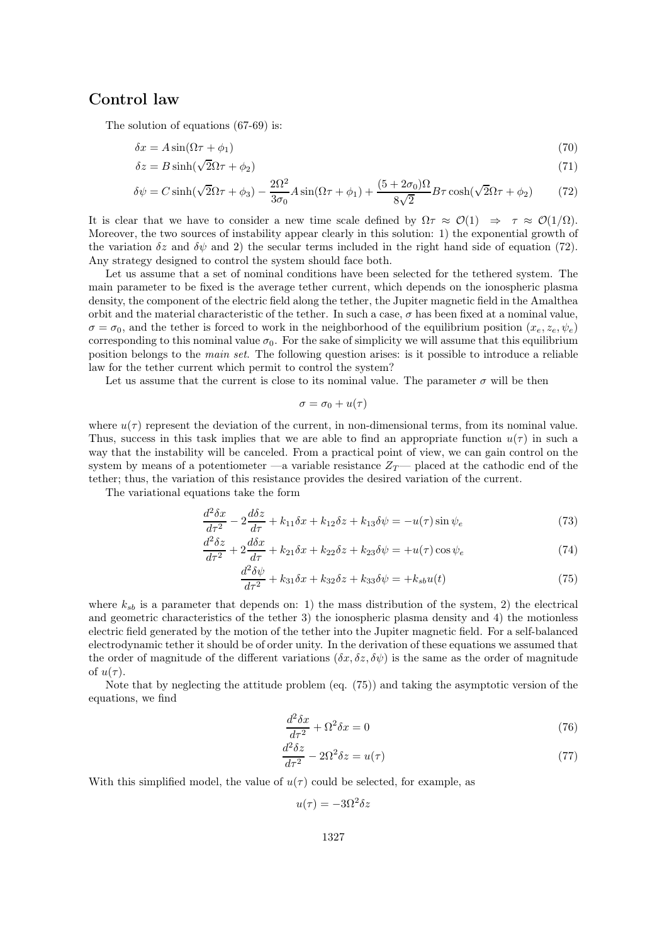# Control law

The solution of equations (67-69) is:

$$
\delta x = A \sin(\Omega \tau + \phi_1) \tag{70}
$$

$$
\delta z = B \sinh(\sqrt{2}\Omega \tau + \phi_2) \tag{71}
$$

$$
\delta\psi = C\sinh(\sqrt{2}\Omega\tau + \phi_3) - \frac{2\Omega^2}{3\sigma_0}A\sin(\Omega\tau + \phi_1) + \frac{(5 + 2\sigma_0)\Omega}{8\sqrt{2}}B\tau\cosh(\sqrt{2}\Omega\tau + \phi_2)
$$
(72)

It is clear that we have to consider a new time scale defined by  $\Omega \tau \approx \mathcal{O}(1) \Rightarrow \tau \approx \mathcal{O}(1/\Omega)$ . Moreover, the two sources of instability appear clearly in this solution: 1) the exponential growth of the variation  $\delta z$  and  $\delta \psi$  and 2) the secular terms included in the right hand side of equation (72). Any strategy designed to control the system should face both.

Let us assume that a set of nominal conditions have been selected for the tethered system. The main parameter to be fixed is the average tether current, which depends on the ionospheric plasma density, the component of the electric field along the tether, the Jupiter magnetic field in the Amalthea orbit and the material characteristic of the tether. In such a case,  $\sigma$  has been fixed at a nominal value,  $\sigma = \sigma_0$ , and the tether is forced to work in the neighborhood of the equilibrium position  $(x_e, z_e, \psi_e)$ corresponding to this nominal value  $\sigma_0$ . For the sake of simplicity we will assume that this equilibrium position belongs to the main set. The following question arises: is it possible to introduce a reliable law for the tether current which permit to control the system?

Let us assume that the current is close to its nominal value. The parameter  $\sigma$  will be then

$$
\sigma = \sigma_0 + u(\tau)
$$

where  $u(\tau)$  represent the deviation of the current, in non-dimensional terms, from its nominal value. Thus, success in this task implies that we are able to find an appropriate function  $u(\tau)$  in such a way that the instability will be canceled. From a practical point of view, we can gain control on the system by means of a potentiometer —a variable resistance  $Z_T$ — placed at the cathodic end of the tether; thus, the variation of this resistance provides the desired variation of the current.

The variational equations take the form

$$
\frac{d^2\delta x}{d\tau^2} - 2\frac{d\delta z}{d\tau} + k_{11}\delta x + k_{12}\delta z + k_{13}\delta\psi = -u(\tau)\sin\psi_e
$$
\n(73)

$$
\frac{d^2\delta z}{d\tau^2} + 2\frac{d\delta x}{d\tau} + k_{21}\delta x + k_{22}\delta z + k_{23}\delta\psi = +u(\tau)\cos\psi_e
$$
\n(74)

$$
\frac{d^2\delta\psi}{d\tau^2} + k_{31}\delta x + k_{32}\delta z + k_{33}\delta\psi = +k_{sb}u(t)
$$
\n(75)

where  $k_{sb}$  is a parameter that depends on: 1) the mass distribution of the system, 2) the electrical and geometric characteristics of the tether 3) the ionospheric plasma density and 4) the motionless electric field generated by the motion of the tether into the Jupiter magnetic field. For a self-balanced electrodynamic tether it should be of order unity. In the derivation of these equations we assumed that the order of magnitude of the different variations  $(\delta x, \delta z, \delta \psi)$  is the same as the order of magnitude of  $u(\tau)$ .

Note that by neglecting the attitude problem (eq. (75)) and taking the asymptotic version of the equations, we find

$$
\frac{d^2\delta x}{d\tau^2} + \Omega^2 \delta x = 0\tag{76}
$$

$$
\frac{d^2\delta z}{d\tau^2} - 2\Omega^2 \delta z = u(\tau) \tag{77}
$$

With this simplified model, the value of  $u(\tau)$  could be selected, for example, as

$$
u(\tau) = -3\Omega^2 \delta z
$$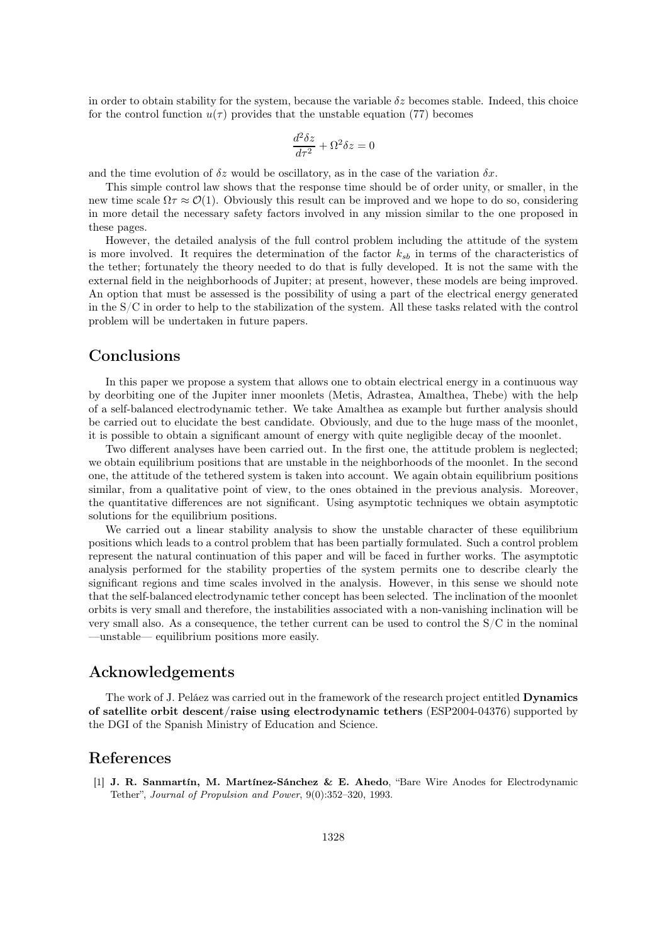in order to obtain stability for the system, because the variable  $\delta z$  becomes stable. Indeed, this choice for the control function  $u(\tau)$  provides that the unstable equation (77) becomes

$$
\frac{d^2\delta z}{d\tau^2} + \Omega^2 \delta z = 0
$$

and the time evolution of  $\delta z$  would be oscillatory, as in the case of the variation  $\delta x$ .

This simple control law shows that the response time should be of order unity, or smaller, in the new time scale  $\Omega \tau \approx \mathcal{O}(1)$ . Obviously this result can be improved and we hope to do so, considering in more detail the necessary safety factors involved in any mission similar to the one proposed in these pages.

However, the detailed analysis of the full control problem including the attitude of the system is more involved. It requires the determination of the factor  $k_{sb}$  in terms of the characteristics of the tether; fortunately the theory needed to do that is fully developed. It is not the same with the external field in the neighborhoods of Jupiter; at present, however, these models are being improved. An option that must be assessed is the possibility of using a part of the electrical energy generated in the  $S/C$  in order to help to the stabilization of the system. All these tasks related with the control problem will be undertaken in future papers.

# Conclusions

In this paper we propose a system that allows one to obtain electrical energy in a continuous way by deorbiting one of the Jupiter inner moonlets (Metis, Adrastea, Amalthea, Thebe) with the help of a self-balanced electrodynamic tether. We take Amalthea as example but further analysis should be carried out to elucidate the best candidate. Obviously, and due to the huge mass of the moonlet, it is possible to obtain a significant amount of energy with quite negligible decay of the moonlet.

Two different analyses have been carried out. In the first one, the attitude problem is neglected; we obtain equilibrium positions that are unstable in the neighborhoods of the moonlet. In the second one, the attitude of the tethered system is taken into account. We again obtain equilibrium positions similar, from a qualitative point of view, to the ones obtained in the previous analysis. Moreover, the quantitative differences are not significant. Using asymptotic techniques we obtain asymptotic solutions for the equilibrium positions.

We carried out a linear stability analysis to show the unstable character of these equilibrium positions which leads to a control problem that has been partially formulated. Such a control problem represent the natural continuation of this paper and will be faced in further works. The asymptotic analysis performed for the stability properties of the system permits one to describe clearly the significant regions and time scales involved in the analysis. However, in this sense we should note that the self-balanced electrodynamic tether concept has been selected. The inclination of the moonlet orbits is very small and therefore, the instabilities associated with a non-vanishing inclination will be very small also. As a consequence, the tether current can be used to control the  $S/C$  in the nominal —unstable— equilibrium positions more easily.

### Acknowledgements

The work of J. Peláez was carried out in the framework of the research project entitled Dynamics of satellite orbit descent/raise using electrodynamic tethers (ESP2004-04376) supported by the DGI of the Spanish Ministry of Education and Science.

# References

[1] J. R. Sanmartín, M. Martínez-Sánchez & E. Ahedo, "Bare Wire Anodes for Electrodynamic Tether", Journal of Propulsion and Power, 9(0):352–320, 1993.